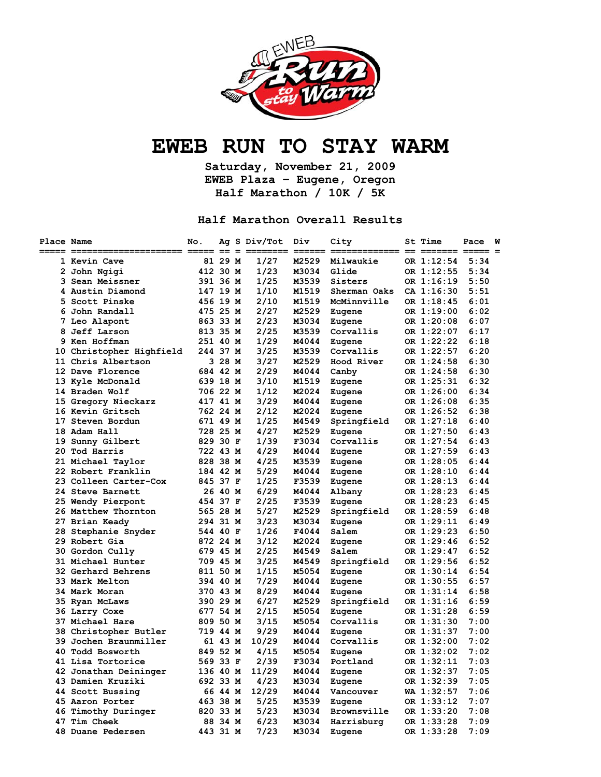

# **EWEB RUN TO STAY WARM**

**Saturday, November 21, 2009 EWEB Plaza – Eugene, Oregon Half Marathon / 10K / 5K** 

#### **Half Marathon Overall Results**

| Place Name | ===== =========<br>============ ===== == = | No.      |         | Ag S Div/Tot | Div<br>=== | City<br>========= == ======= ===== = | <b>St Time</b> | Pace | W |
|------------|--------------------------------------------|----------|---------|--------------|------------|--------------------------------------|----------------|------|---|
|            | 1 Kevin Cave                               |          | 81 29 M | 1/27         | M2529      | Milwaukie                            | OR 1:12:54     | 5:34 |   |
|            | 2 John Ngigi                               | 412 30 M |         | 1/23         | M3034      | Glide                                | OR 1:12:55     | 5:34 |   |
|            | 3 Sean Meissner                            | 391 36 M |         | 1/25         | M3539      | Sisters                              | OR 1:16:19     | 5:50 |   |
|            | 4 Austin Diamond                           | 147 19 M |         | 1/10         | M1519      | Sherman Oaks                         | CA 1:16:30     | 5:51 |   |
|            | 5 Scott Pinske                             | 456 19 M |         | 2/10         | M1519      | McMinnville                          | OR 1:18:45     | 6:01 |   |
|            | 6 John Randall                             | 475 25 M |         | 2/27         | M2529      | Eugene                               | OR 1:19:00     | 6:02 |   |
|            | 7 Leo Alapont                              | 863 33 M |         | 2/23         | M3034      | Eugene                               | OR 1:20:08     | 6:07 |   |
|            | 8 Jeff Larson                              | 813 35 M |         | 2/25         | M3539      | Corvallis                            | OR 1:22:07     | 6:17 |   |
|            | 9 Ken Hoffman                              | 251 40 M |         | 1/29         | M4044      | Eugene                               | OR 1:22:22     | 6:18 |   |
|            | 10 Christopher Highfield                   | 244 37 M |         | 3/25         | M3539      | Corvallis                            | OR 1:22:57     | 6:20 |   |
|            | 11 Chris Albertson                         |          | 3 28 M  | 3/27         | M2529      | Hood River                           | OR 1:24:58     | 6:30 |   |
|            | 12 Dave Florence                           | 684 42 M |         | 2/29         | M4044      | Canby                                | OR 1:24:58     | 6:30 |   |
|            | 13 Kyle McDonald                           | 639 18 M |         | 3/10         | M1519      | Eugene                               | OR 1:25:31     | 6:32 |   |
|            | 14 Braden Wolf                             | 706 22 M |         | 1/12         | M2024      | Eugene                               | OR 1:26:00     | 6:34 |   |
|            | 15 Gregory Nieckarz                        | 417 41 M |         | 3/29         | M4044      | Eugene                               | OR 1:26:08     | 6:35 |   |
|            | 16 Kevin Gritsch                           | 762 24 M |         | 2/12         | M2024      | Eugene                               | OR 1:26:52     | 6:38 |   |
|            | 17 Steven Bordun                           | 671 49 M |         | 1/25         | M4549      | Springfield                          | OR 1:27:18     | 6:40 |   |
|            | 18 Adam Hall                               | 728 25 M |         | 4/27         | M2529      | Eugene                               | OR 1:27:50     | 6:43 |   |
|            | 19 Sunny Gilbert                           | 829 30 F |         | 1/39         | F3034      | Corvallis                            | OR 1:27:54     | 6:43 |   |
|            | 20 Tod Harris                              | 722 43 M |         | 4/29         | M4044      | Eugene                               | OR 1:27:59     | 6:43 |   |
|            | 21 Michael Taylor                          | 828 38 M |         | 4/25         | M3539      | Eugene                               | OR 1:28:05     | 6:44 |   |
|            | 22 Robert Franklin                         | 184 42 M |         | 5/29         | M4044      | Eugene                               | OR 1:28:10     | 6:44 |   |
|            | 23 Colleen Carter-Cox                      | 845 37 F |         | 1/25         | F3539      | Eugene                               | OR 1:28:13     | 6:44 |   |
|            | 24 Steve Barnett                           |          | 26 40 M | 6/29         | M4044      | Albany                               | OR 1:28:23     | 6:45 |   |
|            | 25 Wendy Pierpont                          | 454 37 F |         | 2/25         | F3539      | Eugene                               | OR 1:28:23     | 6:45 |   |
|            | 26 Matthew Thornton                        | 565 28 M |         | 5/27         | M2529      | Springfield                          | OR 1:28:59     | 6:48 |   |
|            | 27 Brian Keady                             | 294 31 M |         | 3/23         | M3034      | Eugene                               | OR 1:29:11     | 6:49 |   |
|            | 28 Stephanie Snyder                        | 544 40 F |         | 1/26         | F4044      | Salem                                | OR 1:29:23     | 6:50 |   |
|            | 29 Robert Gia                              | 872 24 M |         | 3/12         | M2024      | Eugene                               | OR 1:29:46     | 6:52 |   |
|            | 30 Gordon Cully                            | 679 45 M |         | 2/25         | M4549      | Salem                                | OR 1:29:47     | 6:52 |   |
|            | 31 Michael Hunter                          | 709 45 M |         | 3/25         | M4549      | Springfield                          | OR 1:29:56     | 6:52 |   |
|            | 32 Gerhard Behrens                         | 811 50 M |         | 1/15         | M5054      | Eugene                               | OR 1:30:14     | 6:54 |   |
|            | 33 Mark Melton                             | 394 40 M |         | 7/29         | M4044      | Eugene                               | OR 1:30:55     | 6:57 |   |
|            | 34 Mark Moran                              | 370 43 M |         | 8/29         | M4044      | Eugene                               | OR 1:31:14     | 6:58 |   |
|            | 35 Ryan McLaws                             | 390 29 M |         | 6/27         | M2529      | Springfield                          | OR 1:31:16     | 6:59 |   |
|            | 36 Larry Coxe                              | 677 54 M |         | 2/15         | M5054      | Eugene                               | OR 1:31:28     | 6:59 |   |
|            | 37 Michael Hare                            | 809 50 M |         | 3/15         | M5054      | Corvallis                            | OR 1:31:30     | 7:00 |   |
|            | 38 Christopher Butler                      | 719 44 M |         | 9/29         | M4044      | Eugene                               | OR 1:31:37     | 7:00 |   |
|            | 39 Jochen Braunmiller                      |          | 61 43 M | 10/29        | M4044      | Corvallis                            | OR 1:32:00     | 7:02 |   |
|            | 40 Todd Bosworth                           | 849 52 M |         | 4/15         | M5054      | Eugene                               | OR 1:32:02     | 7:02 |   |
|            | 41 Lisa Tortorice                          | 569 33 F |         | 2/39         | F3034      | Portland                             | OR 1:32:11     | 7:03 |   |
|            | 42 Jonathan Deininger                      | 136 40 M |         | 11/29        | M4044      | Eugene                               | OR 1:32:37     | 7:05 |   |
|            | 43 Damien Kruziki                          | 692 33 M |         | 4/23         | M3034      | Eugene                               | OR 1:32:39     | 7:05 |   |
|            | 44 Scott Bussing                           |          | 66 44 M | 12/29        | M4044      | Vancouver                            | WA 1:32:57     | 7:06 |   |
|            | 45 Aaron Porter                            | 463 38 M |         | 5/25         | M3539      | Eugene                               | OR 1:33:12     | 7:07 |   |
|            | 46 Timothy Duringer                        | 820 33 M |         | 5/23         | M3034      | Brownsville                          | OR 1:33:20     | 7:08 |   |
|            | 47 Tim Cheek                               |          | 88 34 M | 6/23         | M3034      | Harrisburg                           | OR 1:33:28     | 7:09 |   |
|            | 48 Duane Pedersen                          | 443 31 M |         | 7/23         | M3034      | Eugene                               | OR 1:33:28     | 7:09 |   |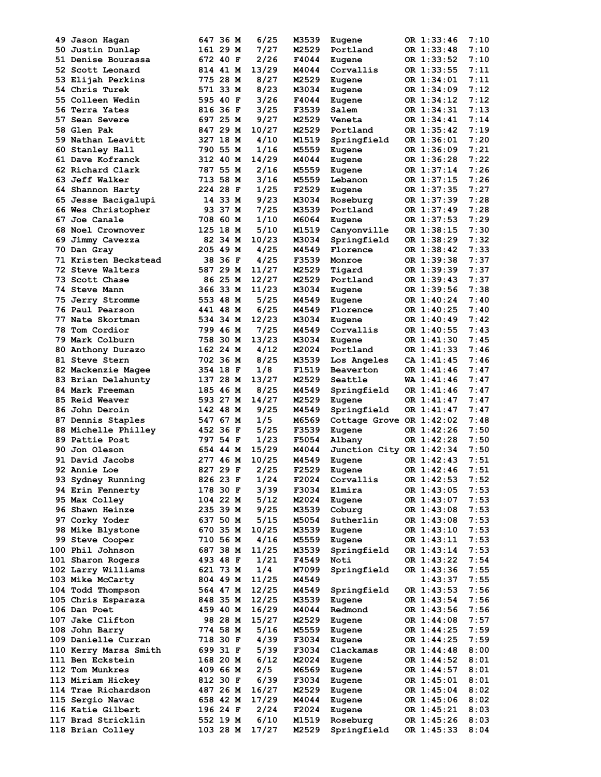|     | 49 Jason Haqan        | 647 36 M | 6/25  | M3539 | Eugene                   | OR 1:33:46 | 7:10 |
|-----|-----------------------|----------|-------|-------|--------------------------|------------|------|
|     | 50 Justin Dunlap      | 161 29 M | 7/27  | M2529 | Portland                 | OR 1:33:48 | 7:10 |
|     | 51 Denise Bourassa    | 672 40 F | 2/26  | F4044 | Eugene                   | OR 1:33:52 | 7:10 |
|     | 52 Scott Leonard      | 814 41 M | 13/29 | M4044 | Corvallis                | OR 1:33:55 | 7:11 |
|     |                       |          |       |       |                          |            |      |
|     | 53 Elijah Perkins     | 775 28 M | 8/27  | M2529 | Eugene                   | OR 1:34:01 | 7:11 |
|     | 54 Chris Turek        | 571 33 M | 8/23  | M3034 | Eugene                   | OR 1:34:09 | 7:12 |
|     | 55 Colleen Wedin      | 595 40 F | 3/26  | F4044 | Eugene                   | OR 1:34:12 | 7:12 |
|     | 56 Terra Yates        | 816 36 F | 3/25  | F3539 | Salem                    | OR 1:34:31 | 7:13 |
| 57. |                       | 697 25 M | 9/27  | M2529 |                          | OR 1:34:41 | 7:14 |
|     | Sean Severe           |          |       |       | Veneta                   |            |      |
|     | 58 Glen Pak           | 847 29 M | 10/27 | M2529 | Portland                 | OR 1:35:42 | 7:19 |
|     | 59 Nathan Leavitt     | 327 18 M | 4/10  | M1519 | Springfield              | OR 1:36:01 | 7:20 |
|     | 60 Stanley Hall       | 790 55 M | 1/16  | M5559 | Eugene                   | OR 1:36:09 | 7:21 |
|     | 61 Dave Kofranck      | 312 40 M | 14/29 | M4044 | Eugene                   | OR 1:36:28 | 7:22 |
|     |                       |          |       |       |                          |            |      |
|     | 62 Richard Clark      | 787 55 M | 2/16  | M5559 | Eugene                   | OR 1:37:14 | 7:26 |
|     | 63 Jeff Walker        | 713 58 M | 3/16  | M5559 | Lebanon                  | OR 1:37:15 | 7:26 |
|     | 64 Shannon Harty      | 224 28 F | 1/25  | F2529 | Eugene                   | OR 1:37:35 | 7:27 |
|     | 65 Jesse Bacigalupi   | 14 33 M  | 9/23  | M3034 | Roseburg                 | OR 1:37:39 | 7:28 |
|     | 66 Wes Christopher    | 93 37 M  | 7/25  | M3539 | Portland                 | OR 1:37:49 | 7:28 |
|     |                       |          |       |       |                          |            |      |
|     | 67 Joe Canale         | 708 60 M | 1/10  | M6064 | Eugene                   | OR 1:37:53 | 7:29 |
|     | 68 Noel Crownover     | 125 18 M | 5/10  | M1519 | Canyonville              | OR 1:38:15 | 7:30 |
|     | 69 Jimmy Cavezza      | 82 34 M  | 10/23 | M3034 | Springfield              | OR 1:38:29 | 7:32 |
|     | 70 Dan Gray           | 205 49 M | 4/25  | M4549 | Florence                 | OR 1:38:42 | 7:33 |
|     |                       |          |       |       |                          |            |      |
|     | 71 Kristen Beckstead  | 38 36 F  | 4/25  | F3539 | Monroe                   | OR 1:39:38 | 7:37 |
|     | 72 Steve Walters      | 587 29 M | 11/27 | M2529 | Tigard                   | OR 1:39:39 | 7:37 |
|     | 73 Scott Chase        | 86 25 M  | 12/27 | M2529 | Portland                 | OR 1:39:43 | 7:37 |
|     | 74 Steve Mann         | 366 33 M | 11/23 | M3034 | Eugene                   | OR 1:39:56 | 7:38 |
|     | 75 Jerry Stromme      | 553 48 M | 5/25  | M4549 | Eugene                   | OR 1:40:24 | 7:40 |
|     |                       |          |       |       |                          |            |      |
|     | 76 Paul Pearson       | 441 48 M | 6/25  | M4549 | Florence                 | OR 1:40:25 | 7:40 |
|     | 77 Nate Skortman      | 534 34 M | 12/23 | M3034 | Eugene                   | OR 1:40:49 | 7:42 |
|     | 78 Tom Cordior        | 799 46 M | 7/25  | M4549 | Corvallis                | OR 1:40:55 | 7:43 |
|     | 79 Mark Colburn       | 758 30 M | 13/23 | M3034 | Eugene                   | OR 1:41:30 | 7:45 |
|     |                       |          |       |       |                          |            | 7:46 |
|     | 80 Anthony Durazo     | 162 24 M | 4/12  | M2024 | Portland                 | OR 1:41:33 |      |
|     | 81 Steve Stern        | 702 36 M | 8/25  | M3539 | Los Angeles              | CA 1:41:45 | 7:46 |
|     | 82 Mackenzie Magee    | 354 18 F | 1/8   | F1519 | Beaverton                | OR 1:41:46 | 7:47 |
|     | 83 Brian Delahunty    | 137 28 M | 13/27 | M2529 | Seattle                  | WA 1:41:46 | 7:47 |
|     | 84 Mark Freeman       | 185 46 M | 8/25  | M4549 | Springfield              | OR 1:41:46 | 7:47 |
|     |                       |          |       |       |                          |            |      |
|     | 85 Reid Weaver        | 593 27 M | 14/27 | M2529 | Eugene                   | OR 1:41:47 | 7:47 |
|     | 86 John Deroin        | 142 48 M | 9/25  | M4549 | Springfield              | OR 1:41:47 | 7:47 |
|     | 87 Dennis Staples     | 547 67 M | 1/5   | M6569 | Cottage Grove OR 1:42:02 |            | 7:48 |
|     | 88 Michelle Philley   | 452 36 F | 5/25  | F3539 | Eugene                   | OR 1:42:26 | 7:50 |
|     | 89 Pattie Post        | 797 54 F | 1/23  | F5054 | Albany                   | OR 1:42:28 | 7:50 |
|     |                       |          |       |       |                          |            |      |
|     | 90 Jon Oleson         | 654 44 M | 15/29 | M4044 | Junction City OR 1:42:34 |            | 7:50 |
|     | 91 David Jacobs       | 277 46 M | 10/25 | M4549 | Eugene                   | OR 1:42:43 | 7:51 |
|     | 92 Annie Loe          | 827 29 F | 2/25  | F2529 | Eugene                   | OR 1:42:46 | 7:51 |
|     | 93 Sydney Running     | 826 23 F | 1/24  | F2024 | Corvallis                | OR 1:42:53 | 7:52 |
|     |                       |          |       |       |                          |            |      |
|     | 94 Erin Fennerty      | 178 30 F | 3/39  | F3034 | Elmira                   | OR 1:43:05 | 7:53 |
|     | 95 Max Colley         | 104 22 M | 5/12  | M2024 | Eugene                   | OR 1:43:07 | 7:53 |
|     | 96 Shawn Heinze       | 235 39 M | 9/25  | M3539 | Coburg                   | OR 1:43:08 | 7:53 |
|     | 97 Corky Yoder        | 637 50 M | 5/15  | M5054 | Sutherlin                | OR 1:43:08 | 7:53 |
|     | 98 Mike Blystone      | 670 35 M | 10/25 | M3539 |                          | OR 1:43:10 | 7:53 |
|     |                       |          |       |       | Eugene                   |            |      |
|     | 99 Steve Cooper       | 710 56 M | 4/16  | M5559 | Eugene                   | OR 1:43:11 | 7:53 |
|     | 100 Phil Johnson      | 687 38 M | 11/25 | M3539 | Springfield              | OR 1:43:14 | 7:53 |
|     | 101 Sharon Rogers     | 493 48 F | 1/21  | F4549 | Noti                     | OR 1:43:22 | 7:54 |
|     | 102 Larry Williams    | 621 73 M | 1/4   | M7099 | Springfield              | OR 1:43:36 | 7:55 |
|     |                       |          |       |       |                          |            |      |
|     | 103 Mike McCarty      | 804 49 M | 11/25 | M4549 |                          | 1:43:37    | 7:55 |
|     | 104 Todd Thompson     | 564 47 M | 12/25 | M4549 | Springfield              | OR 1:43:53 | 7:56 |
|     | 105 Chris Esparaza    | 848 35 M | 12/25 | M3539 | Eugene                   | OR 1:43:54 | 7:56 |
|     | 106 Dan Poet          | 459 40 M | 16/29 | M4044 | Redmond                  | OR 1:43:56 | 7:56 |
|     |                       |          |       |       |                          |            |      |
|     | 107 Jake Clifton      | 98 28 M  | 15/27 | M2529 | Eugene                   | OR 1:44:08 | 7:57 |
|     | 108 John Barry        | 774 58 M | 5/16  | M5559 | Eugene                   | OR 1:44:25 | 7:59 |
|     | 109 Danielle Curran   | 718 30 F | 4/39  | F3034 | Eugene                   | OR 1:44:25 | 7:59 |
|     | 110 Kerry Marsa Smith | 699 31 F | 5/39  | F3034 | Clackamas                | OR 1:44:48 | 8:00 |
|     |                       |          |       |       |                          |            |      |
|     | 111 Ben Eckstein      | 168 20 M | 6/12  | M2024 | Eugene                   | OR 1:44:52 | 8:01 |
|     | 112 Tom Munkres       | 409 66 M | 2/5   | M6569 | Eugene                   | OR 1:44:57 | 8:01 |
|     | 113 Miriam Hickey     | 812 30 F | 6/39  | F3034 | Eugene                   | OR 1:45:01 | 8:01 |
|     | 114 Trae Richardson   | 487 26 M | 16/27 | M2529 | Eugene                   | OR 1:45:04 | 8:02 |
|     | 115 Sergio Navac      | 658 42 M | 17/29 | M4044 | Eugene                   | OR 1:45:06 | 8:02 |
|     |                       |          |       |       |                          |            |      |
|     | 116 Katie Gilbert     | 196 24 F | 2/24  | F2024 | Eugene                   | OR 1:45:21 | 8:03 |
|     | 117 Brad Stricklin    | 552 19 M | 6/10  | M1519 | Roseburg                 | OR 1:45:26 | 8:03 |
|     | 118 Brian Colley      | 103 28 M | 17/27 | M2529 | Springfield              | OR 1:45:33 | 8:04 |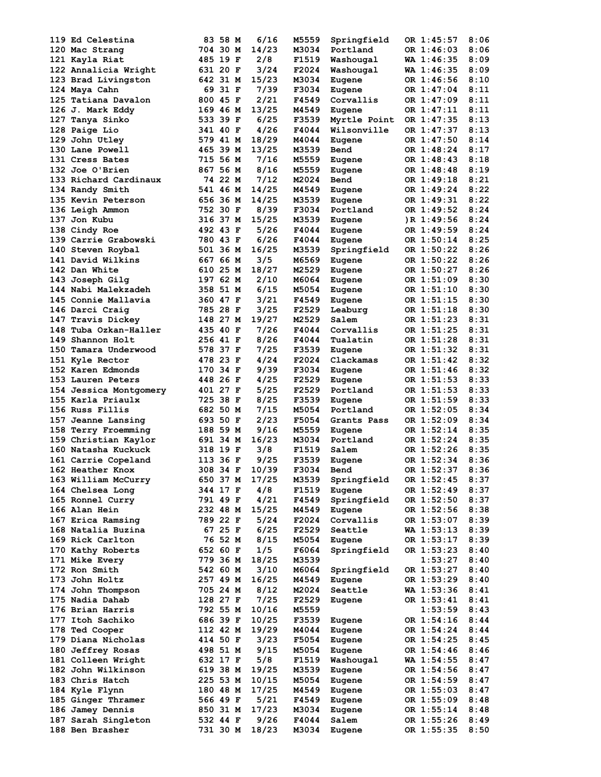| 119 Ed Celestina                       | 83 58 M              | 6/16          | M5559          | Springfield     | OR 1:45:57               | 8:06         |
|----------------------------------------|----------------------|---------------|----------------|-----------------|--------------------------|--------------|
| 120 Mac Strang                         | 704 30 M             | 14/23         | M3034          | Portland        | OR 1:46:03               | 8:06         |
| 121 Kayla Riat                         | 485 19 F             | 2/8           | F1519          | Washougal       | WA 1:46:35               | 8:09         |
| 122 Annalicia Wright                   | 631 20 F             | 3/24          | F2024          | Washougal       | WA 1:46:35               | 8:09         |
| 123 Brad Livingston                    | 642 31 M             | 15/23         | M3034          | Eugene          | OR 1:46:56               | 8:10         |
| 124 Maya Cahn                          | 69 31 F              | 7/39          | F3034          |                 | OR 1:47:04               | 8:11         |
|                                        |                      |               |                | Eugene          |                          |              |
| 125 Tatiana Davalon                    | 800 45 F             | 2/21          | F4549          | Corvallis       | OR 1:47:09               | 8:11         |
| 126 J. Mark Eddy                       | 169 46 M             | 13/25         | M4549          | Eugene          | OR 1:47:11               | 8:11         |
| 127 Tanya Sinko                        | 533 39 F             | 6/25          | F3539          | Myrtle Point    | OR 1:47:35               | 8:13         |
| 128 Paige Lio                          | 341 40 F             | 4/26          | F4044          | Wilsonville     | OR 1:47:37               | 8:13         |
| 129 John Utley                         | 579 41 M             | 18/29         | M4044          | Eugene          | OR 1:47:50               | 8:14         |
| 130 Lane Powell                        | 465 39 M             | 13/25         | M3539          | Bend            | OR 1:48:24               | 8:17         |
| 131 Cress Bates                        | 715 56 M             | 7/16          | M5559          | Eugene          | OR 1:48:43               | 8:18         |
| 132 Joe O'Brien                        | 867 56 M             | 8/16          | M5559          |                 | OR 1:48:48               | 8:19         |
|                                        |                      |               |                | Eugene          |                          |              |
| 133 Richard Cardinaux                  | 74 22 M              | 7/12          | M2024          | Bend            | OR 1:49:18               | 8:21         |
| 134 Randy Smith                        | 541 46 M             | 14/25         | M4549          | Eugene          | OR 1:49:24               | 8:22         |
| 135 Kevin Peterson                     | 656 36 M             | 14/25         | M3539          | Eugene          | OR 1:49:31               | 8:22         |
| 136 Leigh Ammon                        | 752 30 F             | 8/39          | F3034          | Portland        | OR 1:49:52               | 8:24         |
| 137 Jon Kubu                           | 316 37 M             | 15/25         | M3539          | Eugene          | R 1:49:56                | 8:24         |
| 138 Cindy Roe                          | 492 43 F             | 5/26          | F4044          | Eugene          | OR 1:49:59               | 8:24         |
| 139 Carrie Grabowski                   | 780 43 F             | 6/26          | F4044          | Eugene          | OR 1:50:14               | 8:25         |
|                                        |                      |               |                |                 | OR 1:50:22               |              |
| 140 Steven Roybal                      | 501 36 M             | 16/25         | M3539          | Springfield     |                          | 8:26         |
| 141 David Wilkins                      | 667 66 M             | 3/5           | M6569          | Eugene          | OR 1:50:22               | 8:26         |
| 142 Dan White                          | 610 25 M             | 18/27         | M2529          | Eugene          | OR 1:50:27               | 8:26         |
| 143 Joseph Gilg                        | 197 62 M             | 2/10          | M6064          | Eugene          | OR 1:51:09               | 8:30         |
| 144 Nabi Malekzadeh                    | 358 51 M             | 6/15          | M5054          | Eugene          | OR 1:51:10               | 8:30         |
| 145 Connie Mallavia                    | 360 47 F             | 3/21          | F4549          | Eugene          | OR 1:51:15               | 8:30         |
| 146 Darci Craig                        | 785 28 F             | 3/25          | F2529          | Leaburg         | OR 1:51:18               | 8:30         |
| 147 Travis Dickey                      | 148 27 M             | 19/27         | M2529          | Salem           | OR 1:51:23               | 8:31         |
| 148 Tuba Ozkan-Haller                  | 435 40 F             | 7/26          | F4044          | Corvallis       | OR 1:51:25               | 8:31         |
|                                        |                      |               |                |                 |                          |              |
| 149 Shannon Holt                       | 256 41 F             | 8/26          | F4044          | Tualatin        | OR 1:51:28               | 8:31         |
| 150 Tamara Underwood                   | 578 37 F             | 7/25          | F3539          | Eugene          | OR 1:51:32               | 8:31         |
| 151 Kyle Rector                        | 478 23 F             | 4/24          | F2024          | Clackamas       | OR 1:51:42               | 8:32         |
| 152 Karen Edmonds                      | 170 34 F             | 9/39          | F3034          | Eugene          | OR 1:51:46               | 8:32         |
| 153 Lauren Peters                      | 448 26 F             | 4/25          | F2529          | Eugene          | OR 1:51:53               | 8:33         |
| 154 Jessica Montgomery                 | 401 27 F             | 5/25          | F2529          | Portland        | OR 1:51:53               | 8:33         |
| 155 Karla Priaulx                      | 725 38 F             | 8/25          | F3539          | Eugene          | OR 1:51:59               | 8:33         |
|                                        |                      |               |                |                 |                          |              |
| 156 Russ Fillis                        | 682 50 M             | 7/15          | M5054          | Portland        | OR 1:52:05               | 8:34         |
| 157 Jeanne Lansing                     | 693 50 F             | 2/23          | F5054          | Grants Pass     | OR 1:52:09               | 8:34         |
| 158 Terry Froemming                    | 188 59 M             | 9/16          | M5559          | Eugene          | OR 1:52:14               | 8:35         |
| 159 Christian Kaylor                   | 691 34 M             | 16/23         | M3034          | Portland        | OR 1:52:24               | 8:35         |
| 160 Natasha Kuckuck                    | 318 19 F             | 3/8           | F1519          | Salem           | OR 1:52:26               | 8:35         |
| 161 Carrie Copeland                    | 113 36 F             | 9/25          | F3539          | Eugene          | OR 1:52:34               | 8:36         |
| 162 Heather Knox                       | 308 34 F             | 10/39         | F3034          | Bend            | OR 1:52:37               | 8:36         |
| 163 William McCurry                    | 650 37 M             | 17/25         | M3539          | Springfield     | OR 1:52:45               | 8:37         |
|                                        |                      |               |                |                 |                          |              |
| 164 Chelsea Long                       | 344 17 F             | 4/8           | F1519          | Eugene          | OR 1:52:49               | 8:37         |
| 165 Ronnel Curry                       | 791 49 F             | 4/21          | F4549          | Springfield     | OR 1:52:50               | 8:37         |
| 166 Alan Hein                          | 232 48 M             | 15/25         | M4549          | Eugene          | OR 1:52:56               | 8:38         |
| 167 Erica Ramsing                      | 789 22 F             | 5/24          | F2024          | Corvallis       | OR 1:53:07               | 8:39         |
| 168 Natalia Buzina                     | 67 25 F              | 6/25          | F2529          | Seattle         | WA 1:53:13               | 8:39         |
| 169 Rick Carlton                       | 76 52 M              | 8/15          | M5054          | Eugene          | OR 1:53:17               | 8:39         |
| 170 Kathy Roberts                      | 652 60 F             | 1/5           | F6064          | Springfield     | OR 1:53:23               | 8:40         |
| 171 Mike Every                         | 779 36 M             | 18/25         | M3539          |                 | 1:53:27                  | 8:40         |
|                                        |                      |               |                |                 |                          |              |
| 172 Ron Smith                          | 542 60 M             | 3/10          | M6064          | Springfield     | OR 1:53:27               | 8:40         |
| 173 John Holtz                         | 257 49 M             | 16/25         | M4549          | Eugene          | OR 1:53:29               | 8:40         |
| 174 John Thompson                      | 705 24 M             | 8/12          | M2024          | Seattle         | WA 1:53:36               | 8:41         |
| 175 Nadia Dahab                        | 128 27 F             | 7/25          | F2529          | Eugene          | OR 1:53:41               | 8:41         |
| 176 Brian Harris                       | 792 55 M             | 10/16         | M5559          |                 | 1:53:59                  | 8:43         |
| 177 Itoh Sachiko                       | 686 39 F             | 10/25         | F3539          | Eugene          | OR 1:54:16               | 8:44         |
| 178 Ted Cooper                         | 112 42 M             | 19/29         | M4044          | Eugene          | OR 1:54:24               | 8:44         |
|                                        |                      |               |                |                 |                          |              |
| 179 Diana Nicholas                     | 414 50 F             | 3/23          | F5054          | Eugene          | OR 1:54:25               | 8:45         |
| 180 Jeffrey Rosas                      | 498 51 M             | 9/15          | M5054          | Eugene          | OR 1:54:46               | 8:46         |
| 181 Colleen Wright                     | 632 17 F             | 5/8           | F1519          | Washougal       | <b>WA 1:54:55</b>        | 8:47         |
| 182 John Wilkinson                     | 619 38 M             | 19/25         | M3539          | Eugene          | OR 1:54:56               | 8:47         |
| 183 Chris Hatch                        |                      | 10/15         | M5054          | Eugene          | OR 1:54:59               | 8:47         |
|                                        | 225 53 M             |               |                |                 |                          |              |
|                                        |                      |               |                |                 |                          | 8:47         |
| 184 Kyle Flynn                         | 180 48 M             | 17/25         | M4549          | Eugene          | OR 1:55:03               |              |
| 185 Ginger Thramer                     | 566 49 F             | 5/21          | F4549          | Eugene          | OR 1:55:09               | 8:48         |
| 186 Jamey Dennis                       | 850 31 M             | 17/23         | M3034          | Eugene          | OR 1:55:14               | 8:48         |
| 187 Sarah Singleton<br>188 Ben Brasher | 532 44 F<br>731 30 M | 9/26<br>18/23 | F4044<br>M3034 | Salem<br>Eugene | OR 1:55:26<br>OR 1:55:35 | 8:49<br>8:50 |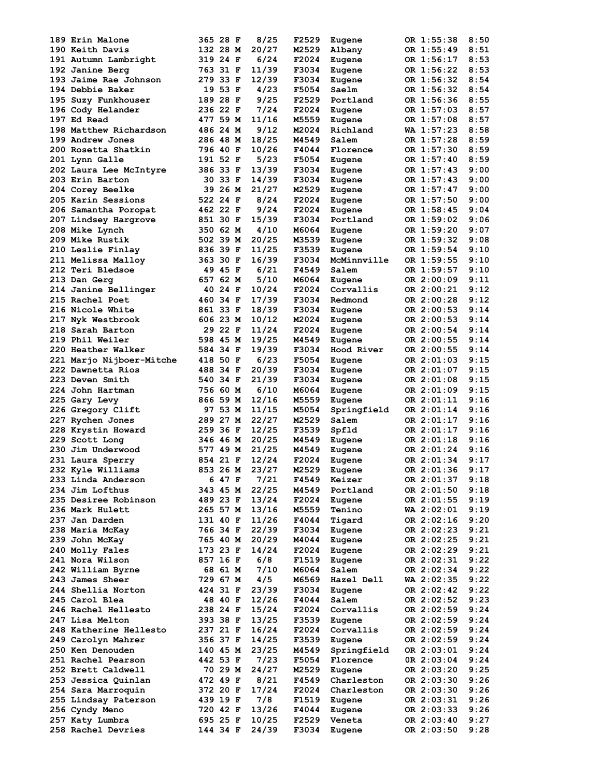| 189 Erin Malone          | 365 28 F | 8/25  | F2529 | Eugene      | OR 1:55:38   | 8:50 |
|--------------------------|----------|-------|-------|-------------|--------------|------|
| 190 Keith Davis          | 132 28 M | 20/27 | M2529 | Albany      | OR 1:55:49   | 8:51 |
| 191 Autumn Lambright     | 319 24 F | 6/24  | F2024 | Eugene      | OR 1:56:17   | 8:53 |
| 192 Janine Berg          | 763 31 F | 11/39 | F3034 | Eugene      | OR 1:56:22   | 8:53 |
|                          | 279 33 F | 12/39 | F3034 |             | OR 1:56:32   | 8:54 |
| 193 Jaime Rae Johnson    |          |       |       | Eugene      |              |      |
| 194 Debbie Baker         | 19 53 F  | 4/23  | F5054 | Saelm       | OR 1:56:32   | 8:54 |
| 195 Suzy Funkhouser      | 189 28 F | 9/25  | F2529 | Portland    | OR 1:56:36   | 8:55 |
| 196 Cody Helander        | 236 22 F | 7/24  | F2024 | Eugene      | OR 1:57:03   | 8:57 |
| 197 Ed Read              | 477 59 M | 11/16 | M5559 | Eugene      | OR 1:57:08   | 8:57 |
| 198 Matthew Richardson   | 486 24 M | 9/12  | M2024 | Richland    | WA 1:57:23   | 8:58 |
| 199 Andrew Jones         | 286 48 M | 18/25 | M4549 | Salem       | OR 1:57:28   | 8:59 |
|                          |          |       |       |             |              |      |
| 200 Rosetta Shatkin      | 796 40 F | 10/26 | F4044 | Florence    | OR 1:57:30   | 8:59 |
| 201 Lynn Galle           | 191 52 F | 5/23  | F5054 | Eugene      | OR 1:57:40   | 8:59 |
| 202 Laura Lee McIntyre   | 386 33 F | 13/39 | F3034 | Eugene      | OR 1:57:43   | 9:00 |
| 203 Erin Barton          | 30 33 F  | 14/39 | F3034 | Eugene      | OR 1:57:43   | 9:00 |
| <b>204 Corey Beelke</b>  | 39 26 M  | 21/27 | M2529 | Eugene      | OR 1:57:47   | 9:00 |
| 205 Karin Sessions       | 522 24 F | 8/24  | F2024 | Eugene      | OR 1:57:50   | 9:00 |
|                          |          | 9/24  |       |             |              |      |
| 206 Samantha Poropat     | 462 22 F |       | F2024 | Eugene      | OR 1:58:45   | 9:04 |
| 207 Lindsey Hargrove     | 851 30 F | 15/39 | F3034 | Portland    | OR 1:59:02   | 9:06 |
| 208 Mike Lynch           | 350 62 M | 4/10  | M6064 | Eugene      | OR 1:59:20   | 9:07 |
| 209 Mike Rustik          | 502 39 M | 20/25 | M3539 | Eugene      | OR 1:59:32   | 9:08 |
| 210 Leslie Finlay        | 836 39 F | 11/25 | F3539 | Eugene      | OR 1:59:54   | 9:10 |
| 211 Melissa Malloy       | 363 30 F | 16/39 | F3034 | McMinnville | OR 1:59:55   | 9:10 |
|                          |          | 6/21  |       |             |              |      |
| 212 Teri Bledsoe         | 49 45 F  |       | F4549 | Salem       | OR 1:59:57   | 9:10 |
| 213 Dan Gerg             | 657 62 M | 5/10  | M6064 | Eugene      | OR 2:00:09   | 9:11 |
| 214 Janine Bellinger     | 40 24 F  | 10/24 | F2024 | Corvallis   | OR 2:00:21   | 9:12 |
| 215 Rachel Poet          | 460 34 F | 17/39 | F3034 | Redmond     | OR 2:00:28   | 9:12 |
| 216 Nicole White         | 861 33 F | 18/39 | F3034 | Eugene      | OR 2:00:53   | 9:14 |
| 217 Nyk Westbrook        | 606 23 M | 10/12 | M2024 | Eugene      | OR 2:00:53   | 9:14 |
|                          |          |       |       |             |              |      |
| 218 Sarah Barton         | 29 22 F  | 11/24 | F2024 | Eugene      | OR 2:00:54   | 9:14 |
| 219 Phil Weiler          | 598 45 M | 19/25 | M4549 | Eugene      | OR 2:00:55   | 9:14 |
| 220 Heather Walker       | 584 34 F | 19/39 | F3034 | Hood River  | OR 2:00:55   | 9:14 |
| 221 Marjo Nijboer-Mitche | 418 50 F | 6/23  | F5054 | Eugene      | OR 2:01:03   | 9:15 |
| 222 Dawnetta Rios        | 488 34 F | 20/39 | F3034 | Eugene      | OR 2:01:07   | 9:15 |
| 223 Deven Smith          | 540 34 F | 21/39 | F3034 |             | OR 2:01:08   | 9:15 |
|                          |          |       |       | Eugene      |              |      |
| 224 John Hartman         | 756 60 M | 6/10  | M6064 | Eugene      | OR 2:01:09   | 9:15 |
| 225 Gary Levy            | 866 59 M | 12/16 | M5559 | Eugene      | OR 2:01:11   | 9:16 |
| <b>226 Gregory Clift</b> | 97 53 M  | 11/15 | M5054 | Springfield | OR 2:01:14   | 9:16 |
| 227 Rychen Jones         | 289 27 M | 22/27 | M2529 | Salem       | OR 2:01:17   | 9:16 |
| 228 Krystin Howard       | 259 36 F | 12/25 | F3539 | Spfld       | OR 2:01:17   | 9:16 |
| 229 Scott Long           | 346 46 M | 20/25 | M4549 | Eugene      | OR 2:01:18   | 9:16 |
|                          |          |       |       |             |              |      |
| 230 Jim Underwood        | 577 49 M | 21/25 | M4549 | Eugene      | OR 2:01:24   | 9:16 |
| 231 Laura Sperry         | 854 21 F | 12/24 | F2024 | Eugene      | OR 2:01:34   | 9:17 |
| 232 Kyle Williams        | 853 26 M | 23/27 | M2529 | Eugene      | OR 2:01:36   | 9:17 |
| 233 Linda Anderson       | 6 47 F   | 7/21  | F4549 | Keizer      | OR 2:01:37   | 9:18 |
| 234 Jim Lofthus          | 343 45 M | 22/25 | M4549 | Portland    | OR 2:01:50   | 9:18 |
| 235 Desiree Robinson     | 489 23 F | 13/24 | F2024 | Eugene      | OR 2:01:55   | 9:19 |
|                          |          |       |       |             |              |      |
| 236 Mark Hulett          | 265 57 M | 13/16 | M5559 | Tenino      | $WA$ 2:02:01 | 9:19 |
| 237 Jan Darden           | 131 40 F | 11/26 | F4044 | Tigard      | OR 2:02:16   | 9:20 |
| 238 Maria McKay          | 766 34 F | 22/39 | F3034 | Eugene      | OR 2:02:23   | 9:21 |
| 239 John McKay           | 765 40 M | 20/29 | M4044 | Eugene      | OR 2:02:25   | 9:21 |
| 240 Molly Fales          | 173 23 F | 14/24 | F2024 | Eugene      | OR 2:02:29   | 9:21 |
| 241 Nora Wilson          | 857 16 F | 6/8   | F1519 | Eugene      | OR 2:02:31   | 9:22 |
| 242 William Byrne        |          | 7/10  |       | Salem       |              | 9:22 |
|                          | 68 61 M  |       | M6064 |             | OR 2:02:34   |      |
| 243 James Sheer          | 729 67 M | 4/5   | M6569 | Hazel Dell  | WA 2:02:35   | 9:22 |
| 244 Shellia Norton       | 424 31 F | 23/39 | F3034 | Eugene      | OR 2:02:42   | 9:22 |
| 245 Carol Blea           | 48 40 F  | 12/26 | F4044 | Salem       | OR 2:02:52   | 9:23 |
| 246 Rachel Hellesto      | 238 24 F | 15/24 | F2024 | Corvallis   | OR 2:02:59   | 9:24 |
| 247 Lisa Melton          | 393 38 F | 13/25 | F3539 | Eugene      | OR 2:02:59   | 9:24 |
| 248 Katherine Hellesto   | 237 21 F | 16/24 | F2024 | Corvallis   | OR 2:02:59   | 9:24 |
|                          |          |       |       |             |              |      |
| 249 Carolyn Mahrer       | 356 37 F | 14/25 | F3539 | Eugene      | OR 2:02:59   | 9:24 |
| 250 Ken Denouden         | 140 45 M | 23/25 | M4549 | Springfield | OR 2:03:01   | 9:24 |
| 251 Rachel Pearson       | 442 53 F | 7/23  | F5054 | Florence    | OR 2:03:04   | 9:24 |
| 252 Brett Caldwell       | 70 29 M  | 24/27 | M2529 | Eugene      | OR 2:03:20   | 9:25 |
| 253 Jessica Quinlan      | 472 49 F | 8/21  | F4549 | Charleston  | OR 2:03:30   | 9:26 |
| 254 Sara Marroquin       | 372 20 F | 17/24 | F2024 | Charleston  | OR 2:03:30   | 9:26 |
|                          |          |       |       |             |              |      |
| 255 Lindsay Paterson     | 439 19 F | 7/8   | F1519 | Eugene      | OR 2:03:31   | 9:26 |
| 256 Cyndy Meno           | 720 42 F | 13/26 | F4044 | Eugene      | OR 2:03:33   | 9:26 |
| 257 Katy Lumbra          | 695 25 F | 10/25 | F2529 | Veneta      | OR 2:03:40   | 9:27 |
| 258 Rachel Devries       | 144 34 F | 24/39 | F3034 | Eugene      | OR 2:03:50   | 9:28 |
|                          |          |       |       |             |              |      |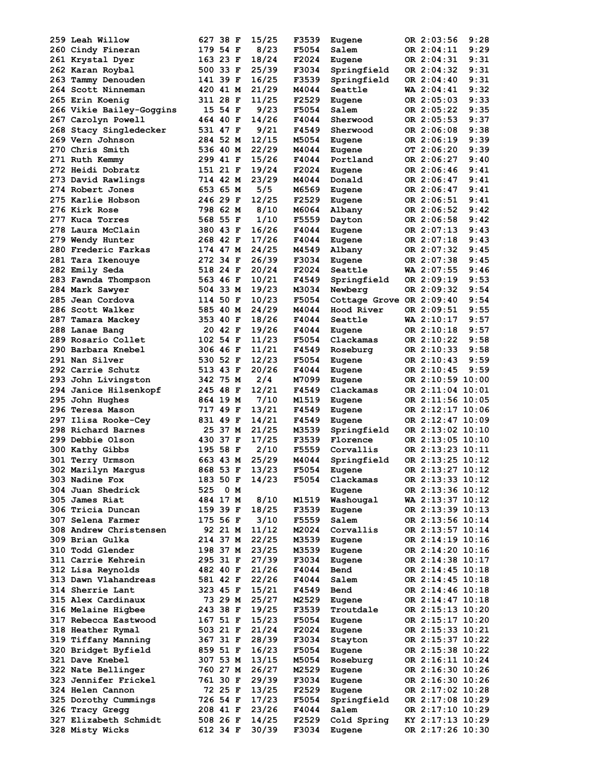| 259 Leah Willow                          | 627 38 F             |         | 15/25          | F3539          | Eugene                   | OR 2:03:56                           | 9:28 |
|------------------------------------------|----------------------|---------|----------------|----------------|--------------------------|--------------------------------------|------|
| 260 Cindy Fineran                        | 179 54 F             |         | 8/23           | F5054          | Salem                    | OR 2:04:11                           | 9:29 |
| 261 Krystal Dyer                         | 163 23 F             |         | 18/24          | F2024          | Eugene                   | OR 2:04:31                           | 9:31 |
| 262 Karan Roybal                         | 500 33 F             |         | 25/39          | F3034          | Springfield              | OR 2:04:32                           | 9:31 |
| 263 Tammy Denouden                       | 141 39 F             |         | 16/25          | F3539          | Springfield              | OR 2:04:40                           | 9:31 |
|                                          | 420 41 M             |         | 21/29          | M4044          | Seattle                  | $WA$ 2:04:41                         | 9:32 |
| 264 Scott Ninneman                       |                      |         |                |                |                          |                                      |      |
| 265 Erin Koenig                          | 311 28 F             |         | 11/25          | F2529          | Eugene                   | OR 2:05:03                           | 9:33 |
| 266 Vikie Bailey-Goggins                 |                      | 15 54 F | 9/23           | F5054          | Salem                    | OR 2:05:22                           | 9:35 |
| 267 Carolyn Powell                       | 464 40 F             |         | 14/26          | F4044          | Sherwood                 | OR 2:05:53                           | 9:37 |
| 268 Stacy Singledecker                   | 531 47 F             |         | 9/21           | F4549          | Sherwood                 | OR 2:06:08                           | 9:38 |
| 269 Vern Johnson                         | 284 52 M             |         | 12/15          | M5054          | Eugene                   | OR 2:06:19                           | 9:39 |
| 270 Chris Smith                          | 536 40 M             |         | 22/29          | M4044          | Eugene                   | OT 2:06:20                           | 9:39 |
| 271 Ruth Kemmy                           | 299 41 F             |         | 15/26          | F4044          | Portland                 | OR 2:06:27                           | 9:40 |
| 272 Heidi Dobratz                        | 151 21 F             |         | 19/24          | F2024          |                          | OR 2:06:46                           | 9:41 |
|                                          |                      |         |                |                | Eugene                   |                                      |      |
| 273 David Rawlings                       | 714 42 M             |         | 23/29          | M4044          | Donald                   | OR 2:06:47                           | 9:41 |
| 274 Robert Jones                         | 653 65 M             |         | 5/5            | M6569          | Eugene                   | OR 2:06:47                           | 9:41 |
| 275 Karlie Hobson                        | 246 29 F             |         | 12/25          | F2529          | Eugene                   | OR 2:06:51                           | 9:41 |
| 276 Kirk Rose                            | 798 62 M             |         | 8/10           | M6064          | Albany                   | OR 2:06:52                           | 9:42 |
| 277 Kuca Torres                          | 568 55 F             |         | 1/10           | F5559          | Dayton                   | OR 2:06:58                           | 9:42 |
| 278 Laura McClain                        | 380 43 F             |         | 16/26          | F4044          | Eugene                   | OR 2:07:13                           | 9:43 |
| 279 Wendy Hunter                         | 268 42 F             |         | 17/26          | F4044          | Eugene                   | OR 2:07:18                           | 9:43 |
|                                          |                      |         |                |                |                          |                                      | 9:45 |
| 280 Frederic Farkas                      | 174 47 M             |         | 24/25          | M4549          | Albany                   | OR 2:07:32                           |      |
| 281 Tara Ikenouye                        | 272 34 F             |         | 26/39          | F3034          | Eugene                   | OR 2:07:38                           | 9:45 |
| 282 Emily Seda                           | 518 24 F             |         | 20/24          | F2024          | Seattle                  | WA 2:07:55                           | 9:46 |
| 283 Fawnda Thompson                      | 563 46 F             |         | 10/21          | F4549          | Springfield              | OR 2:09:19                           | 9:53 |
| 284 Mark Sawyer                          | 504 33 M             |         | 19/23          | M3034          | Newberg                  | OR 2:09:32                           | 9:54 |
| 285 Jean Cordova                         | 114 50 F             |         | 10/23          | F5054          | Cottage Grove OR 2:09:40 |                                      | 9:54 |
| 286 Scott Walker                         | 585 40 M             |         | 24/29          | M4044          | Hood River               | OR 2:09:51                           | 9:55 |
|                                          |                      |         |                |                |                          |                                      |      |
| 287 Tamara Mackey                        | 353 40 F             |         | 18/26          | F4044          | Seattle                  | WA 2:10:17                           | 9:57 |
| 288 Lanae Bang                           |                      | 20 42 F | 19/26          | F4044          | Eugene                   | OR 2:10:18                           | 9:57 |
| 289 Rosario Collet                       | 102 54 F             |         | 11/23          | F5054          | Clackamas                | OR 2:10:22                           | 9:58 |
| 290 Barbara Knebel                       | 306 46 F             |         | 11/21          | F4549          | Roseburg                 | OR 2:10:33                           | 9:58 |
| 291 Nan Silver                           | 530 52 F             |         | 12/23          | F5054          | Eugene                   | OR 2:10:43                           | 9:59 |
| 292 Carrie Schutz                        | 513 43 F             |         | 20/26          | F4044          | Eugene                   | OR 2:10:45                           | 9:59 |
| 293 John Livingston                      | 342 75 M             |         | 2/4            | M7099          | Eugene                   | OR 2:10:59 10:00                     |      |
|                                          |                      |         |                |                |                          |                                      |      |
| 294 Janice Hilsenkopf                    | 245 48 F             |         | 12/21          | F4549          | Clackamas                | OR 2:11:04 10:01                     |      |
| 295 John Hughes                          | 864 19 M             |         | 7/10           | M1519          | Eugene                   | OR 2:11:56 10:05                     |      |
| 296 Teresa Mason                         | 717 49 F             |         | 13/21          | F4549          | Eugene                   | OR 2:12:17 10:06                     |      |
| 297 Ilisa Rooke-Cey                      | 831 49 F             |         | 14/21          | F4549          | Eugene                   | OR 2:12:47 10:09                     |      |
| 298 Richard Barnes                       |                      | 25 37 M | 21/25          | M3539          | Springfield              | OR 2:13:02 10:10                     |      |
| 299 Debbie Olson                         | 430 37 F             |         | 17/25          | F3539          | Florence                 | OR 2:13:05 10:10                     |      |
| 300 Kathy Gibbs                          | 195 58 F             |         | 2/10           | F5559          | Corvallis                | OR 2:13:23 10:11                     |      |
|                                          | 663 43 M             |         |                |                |                          | OR 2:13:25 10:12                     |      |
| 301 Terry Urmson                         |                      |         | 25/29          | M4044          | Springfield              |                                      |      |
| 302 Marilyn Margus                       | 868 53 F             |         | 13/23          | F5054          | Eugene                   | OR 2:13:27 10:12                     |      |
| 303 Nadine Fox                           | 183 50 F             |         | 14/23          | F5054          | Clackamas                | OR 2:13:33 10:12                     |      |
| 304 Juan Shedrick                        | 525                  | 0 M     |                |                | Eugene                   | OR 2:13:36 10:12                     |      |
| 305 James Riat                           | 484 17 M             |         | 8/10           | M1519          | Washougal                | WA 2:13:37 10:12                     |      |
| 306 Tricia Duncan                        | 159 39 F             |         | 18/25          | F3539          | Eugene                   | OR 2:13:39 10:13                     |      |
| 307 Selena Farmer                        | 175 56 F             |         | 3/10           | F5559          | Salem                    | OR 2:13:56 10:14                     |      |
| 308 Andrew Christensen                   |                      | 92 21 M | 11/12          | M2024          | Corvallis                | OR 2:13:57 10:14                     |      |
|                                          |                      |         |                |                |                          |                                      |      |
| 309 Brian Gulka                          | 214 37 M             |         | 22/25          | M3539          | Eugene                   | OR 2:14:19 10:16                     |      |
| 310 Todd Glender                         | 198 37 M             |         | 23/25          | M3539          | Eugene                   | OR 2:14:20 10:16                     |      |
| 311 Carrie Kehrein                       | 295 31 F             |         | 27/39          | F3034          | Eugene                   | OR 2:14:38 10:17                     |      |
| 312 Lisa Reynolds                        | 482 40 F             |         | 21/26          | F4044          | Bend                     | OR 2:14:45 10:18                     |      |
| 313 Dawn Vlahandreas                     | 581 42 F             |         | 22/26          | F4044          | Salem                    | OR 2:14:45 10:18                     |      |
| 314 Sherrie Lant                         | 323 45 F             |         | 15/21          | F4549          | Bend                     | OR 2:14:46 10:18                     |      |
| 315 Alex Cardinaux                       |                      | 73 29 M | 25/27          | M2529          | Eugene                   | OR 2:14:47 10:18                     |      |
|                                          | 243 38 F             |         | 19/25          |                |                          |                                      |      |
| 316 Melaine Higbee                       |                      |         |                | F3539          | Troutdale                | OR 2:15:13 10:20                     |      |
| 317 Rebecca Eastwood                     | 167 51 F             |         | 15/23          | F5054          | Eugene                   | OR 2:15:17 10:20                     |      |
| 318 Heather Rymal                        | 503 21 F             |         | 21/24          | F2024          | Eugene                   | OR 2:15:33 10:21                     |      |
| 319 Tiffany Manning                      | 367 31 F             |         | 28/39          | F3034          | Stayton                  | OR 2:15:37 10:22                     |      |
| 320 Bridget Byfield                      | 859 51 F             |         | 16/23          | F5054          | Eugene                   | OR 2:15:38 10:22                     |      |
| 321 Dave Knebel                          | 307 53 M             |         | 13/15          | M5054          | Roseburg                 | OR 2:16:11 10:24                     |      |
|                                          |                      |         | 26/27          | M2529          |                          | OR 2:16:30 10:26                     |      |
| 322 Nate Bellinger                       | 760 27 M             |         |                |                | Eugene                   |                                      |      |
| 323 Jennifer Frickel                     | 761 30 F             |         | 29/39          | F3034          | Eugene                   | OR 2:16:30 10:26                     |      |
| 324 Helen Cannon                         |                      | 72 25 F | 13/25          | F2529          | Eugene                   | OR 2:17:02 10:28                     |      |
| 325 Dorothy Cummings                     | 726 54 F             |         | 17/23          | F5054          | Springfield              | OR 2:17:08 10:29                     |      |
|                                          |                      |         |                |                |                          |                                      |      |
| 326 Tracy Gregg                          | 208 41 F             |         | 23/26          | F4044          | Salem                    | OR 2:17:10 10:29                     |      |
|                                          |                      |         |                |                |                          |                                      |      |
| 327 Elizabeth Schmidt<br>328 Misty Wicks | 508 26 F<br>612 34 F |         | 14/25<br>30/39 | F2529<br>F3034 | Cold Spring<br>Eugene    | KY 2:17:13 10:29<br>OR 2:17:26 10:30 |      |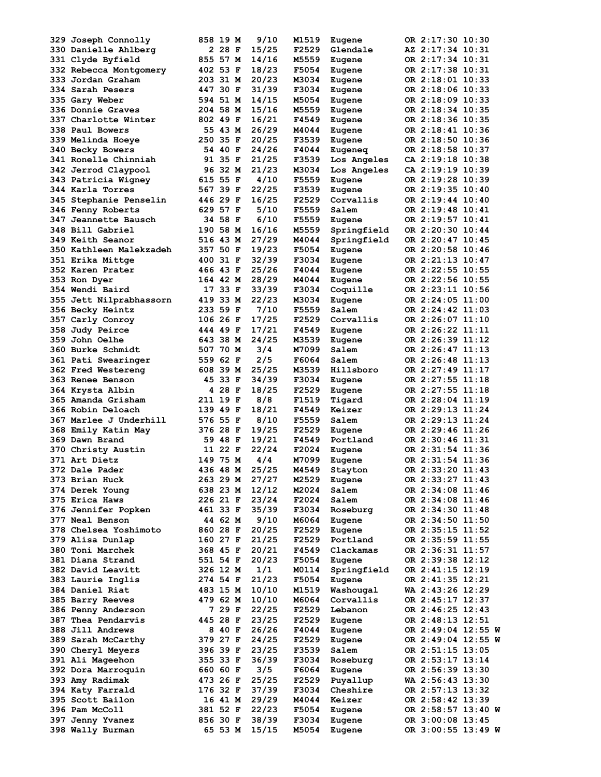| 329 Joseph Connolly       | 858 19 M<br>9/10  | M1519<br>Eugene      | OR 2:17:30 10:30   |
|---------------------------|-------------------|----------------------|--------------------|
| 330 Danielle Ahlberg      | 15/25<br>2 28 F   | F2529<br>Glendale    | AZ 2:17:34 10:31   |
| 331 Clyde Byfield         | 855 57 M<br>14/16 | M5559<br>Eugene      | OR 2:17:34 10:31   |
| 332 Rebecca Montgomery    | 402 53 F<br>18/23 | F5054<br>Eugene      | OR 2:17:38 10:31   |
| 333 Jordan Graham         | 203 31 M<br>20/23 | M3034<br>Eugene      | OR 2:18:01 10:33   |
| 334 Sarah Pesers          | 447 30 F<br>31/39 | F3034<br>Eugene      | OR 2:18:06 10:33   |
| 335 Gary Weber            | 14/15<br>594 51 M | M5054<br>Eugene      | OR 2:18:09 10:33   |
| 336 Donnie Graves         | 204 58 M<br>15/16 | M5559<br>Eugene      | OR 2:18:34 10:35   |
| 337 Charlotte Winter      | 802 49 F<br>16/21 | F4549<br>Eugene      | OR 2:18:36 10:35   |
| 338 Paul Bowers           | 26/29<br>55 43 M  | M4044<br>Eugene      | OR 2:18:41 10:36   |
| 339 Melinda Hoeye         | 20/25<br>250 35 F | F3539<br>Eugene      | OR 2:18:50 10:36   |
| 340 Becky Bowers          | 54 40 F<br>24/26  | F4044<br>Eugeneq     | OR 2:18:58 10:37   |
| 341 Ronelle Chinniah      | 91 35 F<br>21/25  | F3539<br>Los Angeles | CA 2:19:18 10:38   |
| 342 Jerrod Claypool       | 96 32 M<br>21/23  | M3034<br>Los Angeles | CA 2:19:19 10:39   |
| 343 Patricia Wigney       | 615 55 F<br>4/10  | F5559<br>Eugene      | OR 2:19:28 10:39   |
| 344 Karla Torres          | 567 39 F<br>22/25 | F3539<br>Eugene      | OR 2:19:35 10:40   |
| 345 Stephanie Penselin    | 446 29 F<br>16/25 | F2529<br>Corvallis   | OR 2:19:44 10:40   |
| 346 Fenny Roberts         | 629 57 F<br>5/10  | F5559<br>Salem       | OR 2:19:48 10:41   |
| 347 Jeannette Bausch      | 34 58 F<br>6/10   | F5559<br>Eugene      | OR 2:19:57 10:41   |
| 348 Bill Gabriel          | 190 58 M          | M5559                | OR 2:20:30 10:44   |
|                           | 16/16             | Springfield          |                    |
| 349 Keith Seanor          | 516 43 M<br>27/29 | M4044<br>Springfield | OR 2:20:47 10:45   |
| 350 Kathleen Malekzadeh   | 357 50 F<br>19/23 | F5054<br>Eugene      | OR 2:20:58 10:46   |
| 351 Erika Mittge          | 400 31 F<br>32/39 | F3034<br>Eugene      | OR 2:21:13 10:47   |
| 352 Karen Prater          | 466 43 F<br>25/26 | F4044<br>Eugene      | OR 2:22:55 10:55   |
| 353 Ron Dyer              | 28/29<br>164 42 M | M4044<br>Eugene      | OR 2:22:56 10:55   |
| 354 Wendi Baird           | 33/39<br>17 33 F  | F3034<br>Coquille    | OR 2:23:11 10:56   |
| 355 Jett Nilprabhassorn   | 22/23<br>419 33 M | M3034<br>Eugene      | OR 2:24:05 11:00   |
| 356 Becky Heintz          | 233 59 F<br>7/10  | F5559<br>Salem       | OR 2:24:42 11:03   |
| 357 Carly Conroy          | 17/25<br>106 26 F | F2529<br>Corvallis   | OR 2:26:07 11:10   |
| 358 Judy Peirce           | 17/21<br>444 49 F | F4549<br>Eugene      | OR 2:26:22 11:11   |
| <b>359 John Oelhe</b>     | 643 38 M<br>24/25 | M3539<br>Eugene      | OR 2:26:39 11:12   |
| <b>360 Burke Schmidt</b>  | 507 70 M<br>3/4   | M7099<br>Salem       | OR 2:26:47 11:13   |
| 361 Pati Swearinger       | 2/5<br>559 62 F   | F6064<br>Salem       | OR 2:26:48 11:13   |
| <b>362 Fred Westereng</b> | 608 39 M<br>25/25 | M3539<br>Hillsboro   | OR 2:27:49 11:17   |
| <b>363 Renee Benson</b>   | 45 33 F<br>34/39  | F3034<br>Eugene      | OR 2:27:55 11:18   |
| 364 Krysta Albin          | 4 28 F<br>18/25   | F2529<br>Eugene      | OR 2:27:55 11:18   |
| 365 Amanda Grisham        | 211 19 F<br>8/8   | F1519<br>Tigard      | OR 2:28:04 11:19   |
| 366 Robin Deloach         | 139 49 F<br>18/21 | F4549<br>Keizer      | OR 2:29:13 11:24   |
| 367 Marlee J Underhill    | 576 55 F<br>8/10  | F5559<br>Salem       | OR 2:29:13 11:24   |
| 368 Emily Katin May       | 376 28 F<br>19/25 | F2529<br>Eugene      | OR 2:29:46 11:26   |
| 369 Dawn Brand            | 19/21<br>59 48 F  | F4549<br>Portland    | OR 2:30:46 11:31   |
| 370 Christy Austin        | 11 22 F<br>22/24  | F2024<br>Eugene      | OR 2:31:54 11:36   |
| 371 Art Dietz             | 149 75 M<br>4/4   | M7099<br>Eugene      | OR 2:31:54 11:36   |
| 372 Dale Pader            | 436 48 M<br>25/25 | M4549<br>Stayton     | OR 2:33:20 11:43   |
| 373 Brian Huck            | 263 29 M<br>27/27 | M2529<br>Eugene      | OR 2:33:27 11:43   |
| 374 Derek Young           | 12/12<br>638 23 M | M2024<br>Salem       | OR 2:34:08 11:46   |
| 375 Erica Haws            | 226 21 F<br>23/24 | F2024<br>Salem       | OR 2:34:08 11:46   |
| 376 Jennifer Popken       | 461 33 F<br>35/39 | F3034<br>Roseburg    | OR 2:34:30 11:48   |
| <b>377 Neal Benson</b>    | 9/10<br>44 62 M   | M6064<br>Eugene      | OR 2:34:50 11:50   |
|                           | 860 28 F<br>20/25 |                      |                    |
| 378 Chelsea Yoshimoto     |                   | F2529<br>Eugene      | OR 2:35:15 11:52   |
| 379 Alisa Dunlap          | 21/25<br>160 27 F | F2529<br>Portland    | OR 2:35:59 11:55   |
| 380 Toni Marchek          | 368 45 F<br>20/21 | F4549<br>Clackamas   | OR 2:36:31 11:57   |
| 381 Diana Strand          | 551 54 F<br>20/23 | F5054<br>Eugene      | OR 2:39:38 12:12   |
| 382 David Leavitt         | 1/1<br>326 12 M   | M0114<br>Springfield | OR 2:41:15 12:19   |
| 383 Laurie Inglis         | 21/23<br>274 54 F | F5054<br>Eugene      | OR 2:41:35 12:21   |
| 384 Daniel Riat           | 483 15 M<br>10/10 | M1519<br>Washougal   | WA 2:43:26 12:29   |
| 385 Barry Reeves          | 479 62 M<br>10/10 | M6064<br>Corvallis   | OR 2:45:17 12:37   |
| 386 Penny Anderson        | 7 29 F<br>22/25   | F2529<br>Lebanon     | OR 2:46:25 12:43   |
| 387 Thea Pendarvis        | 23/25<br>445 28 F | F2529<br>Eugene      | OR 2:48:13 12:51   |
| 388 Jill Andrews          | 8 40 F<br>26/26   | F4044<br>Eugene      | OR 2:49:04 12:55 W |
| 389 Sarah McCarthy        | 379 27 F<br>24/25 | F2529<br>Eugene      | OR 2:49:04 12:55 W |
| <b>390 Cheryl Meyers</b>  | 396 39 F<br>23/25 | F3539<br>Salem       | OR 2:51:15 13:05   |
| 391 Ali Mageehon          | 355 33 F<br>36/39 | F3034<br>Roseburg    | OR 2:53:17 13:14   |
| 392 Dora Marroquin        | 660 60 F<br>3/5   | F6064<br>Eugene      | OR 2:56:39 13:30   |
| 393 Amy Radimak           | 25/25<br>473 26 F | F2529<br>Puyallup    | WA 2:56:43 13:30   |
| 394 Katy Farrald          | 176 32 F<br>37/39 | F3034<br>Cheshire    | OR 2:57:13 13:32   |
| 395 Scott Bailon          | 16 41 M<br>29/29  | M4044<br>Keizer      | OR 2:58:42 13:39   |
| 396 Pam McColl            | 381 52 F<br>22/23 | F5054<br>Eugene      | OR 2:58:57 13:40 W |
| 397 Jenny Yvanez          | 856 30 F<br>38/39 | F3034<br>Eugene      | OR 3:00:08 13:45   |
| 398 Wally Burman          | 15/15<br>65 53 M  | M5054<br>Eugene      | OR 3:00:55 13:49 W |
|                           |                   |                      |                    |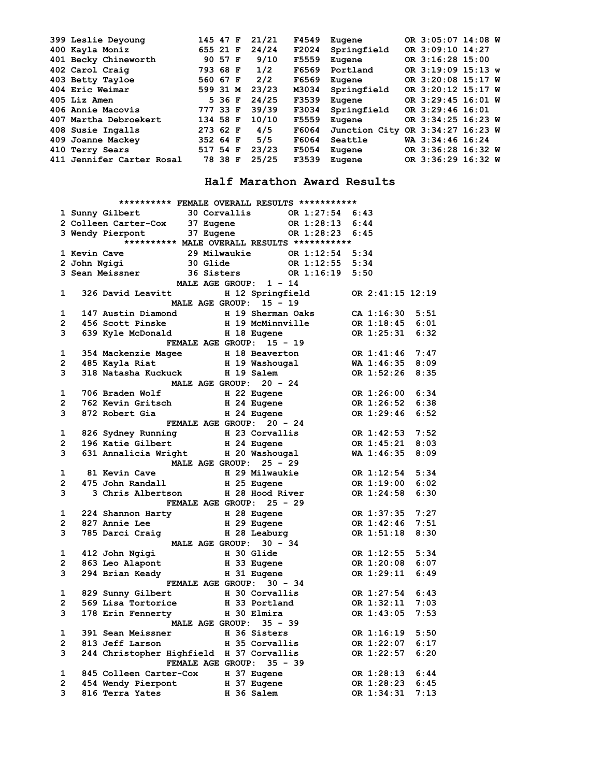|  | 399 Leslie Deyoung        | 145 47 F |         | 21/21 | F4549 | Eugene        | OR 3:05:07 14:08 W |  |
|--|---------------------------|----------|---------|-------|-------|---------------|--------------------|--|
|  | 400 Kayla Moniz           | 655 21 F |         | 24/24 | F2024 | Springfield   | OR 3:09:10 14:27   |  |
|  | 401 Becky Chineworth      |          | 90 57 F | 9/10  | F5559 | Eugene        | OR 3:16:28 15:00   |  |
|  | 402 Carol Craig           | 793 68 F |         | 1/2   | F6569 | Portland      | OR 3:19:09 15:13 w |  |
|  | 403 Betty Tayloe          | 560 67 F |         | 2/2   | F6569 | Eugene        | OR 3:20:08 15:17 W |  |
|  | 404 Eric Weimar           | 599 31 M |         | 23/23 | M3034 | Springfield   | OR 3:20:12 15:17 W |  |
|  | 405 Liz Amen              |          | 5 36 F  | 24/25 | F3539 | Eugene        | OR 3:29:45 16:01 W |  |
|  | 406 Annie Macovis         | 777 33 F |         | 39/39 | F3034 | Springfield   | OR 3:29:46 16:01   |  |
|  | 407 Martha Debroekert     | 134 58 F |         | 10/10 | F5559 | Eugene        | OR 3:34:25 16:23 W |  |
|  | 408 Susie Ingalls         | 273 62 F |         | 4/5   | F6064 | Junction City | OR 3:34:27 16:23 W |  |
|  | 409 Joanne Mackey         | 352 64 F |         | 5/5   | F6064 | Seattle       | WA 3:34:46 16:24   |  |
|  | 410 Terry Sears           | 517 54 F |         | 23/23 | F5054 | Eugene        | OR 3:36:28 16:32 W |  |
|  | 411 Jennifer Carter Rosal |          | 78 38 F | 25/25 | F3539 | Eugene        | OR 3:36:29 16:32 W |  |
|  |                           |          |         |       |       |               |                    |  |

## **Half Marathon Award Results**

|                |                                                                                                                                                                                                               | ********** FEMALE OVERALL RESULTS *********** |                                    |      |
|----------------|---------------------------------------------------------------------------------------------------------------------------------------------------------------------------------------------------------------|-----------------------------------------------|------------------------------------|------|
|                | 1 Sunny Gilbert 30 Corvallis 0R 1:27:54 6:43<br>2 Colleen Carter-Cox 37 Eugene 0R 1:28:13 6:44<br>3 Wendy Pierpont 37 Eugene 0R 1:28:23 6:45                                                                  |                                               |                                    |      |
|                |                                                                                                                                                                                                               |                                               |                                    |      |
|                |                                                                                                                                                                                                               |                                               |                                    |      |
|                | ********** MALE OVERALL RESULTS ***********                                                                                                                                                                   |                                               |                                    |      |
|                | 1 Kevin Cave 29 Milwaukie CR 1:12:54 5:34<br>2 John Ngigi 30 Glide CR 1:12:55 5:34<br>3 Sean Meissner 36 Sisters CR 1:16:19 5:50<br>29 Milwaukie CR 000 PR 1:16:19 5:50                                       |                                               |                                    |      |
|                |                                                                                                                                                                                                               |                                               |                                    |      |
|                |                                                                                                                                                                                                               |                                               |                                    |      |
|                |                                                                                                                                                                                                               |                                               |                                    |      |
| $\mathbf{1}$   | 326 David Leavitt H 12 Springfield OR 2:41:15 12:19                                                                                                                                                           |                                               |                                    |      |
|                |                                                                                                                                                                                                               | MALE AGE GROUP: 15 - 19                       |                                    |      |
| $\mathbf{1}$   | 147 Austin Diamond H 19 Sherman Oaks CA 1:16:30 5:51<br>456 Scott Pinske H 19 McMinnville OR 1:18:45 6:01<br>639 Kyle McDonald H 18 Eugene OR 1:25:31 6:32<br>FEMALE AGE GROUP: 15 - 19<br>147 Austin Diamond |                                               |                                    |      |
| $\overline{2}$ |                                                                                                                                                                                                               |                                               |                                    |      |
| $3^{\circ}$    |                                                                                                                                                                                                               |                                               |                                    |      |
|                |                                                                                                                                                                                                               |                                               |                                    |      |
|                |                                                                                                                                                                                                               |                                               | OR 1:41:46 7:47<br>WA 1:46:35 8:09 |      |
|                |                                                                                                                                                                                                               |                                               |                                    |      |
|                |                                                                                                                                                                                                               |                                               | OR 1:52:26 8:35                    |      |
|                | 954 Mackenzie Magee 1 and 18 Beaverton<br>2 485 Kayla Riat 19 Washougal<br>3 318 Natasha Kuckuck 1 and 19 Salem<br>20 - 24                                                                                    |                                               |                                    |      |
| $\mathbf{1}$   |                                                                                                                                                                                                               |                                               |                                    |      |
| $\mathbf{2}$   |                                                                                                                                                                                                               |                                               |                                    |      |
| 3              |                                                                                                                                                                                                               |                                               |                                    |      |
|                | 706 Braden Wolf H 22 Eugene OR 1:26:00 6:34<br>762 Kevin Gritsch H 24 Eugene OR 1:26:52 6:38<br>872 Robert Gia H 24 Eugene OR 1:29:46 6:52<br>FEMALE AGE GROUP: 20 - 24                                       |                                               |                                    |      |
| $\mathbf{1}$   |                                                                                                                                                                                                               |                                               |                                    |      |
| $2^{\sim}$     |                                                                                                                                                                                                               |                                               |                                    |      |
| 3 <sup>7</sup> |                                                                                                                                                                                                               |                                               |                                    |      |
|                | 826 Sydney Running<br>196 Katie Gilbert H 24 Eugene OR 1:42:53 7:52<br>631 Annalicia Wright H 20 Washougal WA 1:46:35 8:09<br>MALE AGE GROUP: 25 - 29                                                         |                                               |                                    |      |
| $\mathbf{1}$   |                                                                                                                                                                                                               |                                               |                                    |      |
| $2^{\circ}$    |                                                                                                                                                                                                               |                                               |                                    |      |
| $3^{\circ}$    |                                                                                                                                                                                                               |                                               |                                    |      |
|                |                                                                                                                                                                                                               |                                               |                                    |      |
| $\mathbf{1}$   |                                                                                                                                                                                                               |                                               |                                    |      |
| $2^{\sim}$     |                                                                                                                                                                                                               |                                               |                                    |      |
| 3              |                                                                                                                                                                                                               |                                               |                                    |      |
|                | 224 Shannon Harty H 28 Eugene OR 1:37:35 7:27<br>827 Annie Lee H 29 Eugene OR 1:42:46 7:51<br>785 Darci Craig H 28 Leaburg OR 1:51:18 8:30<br>MALE AGE GROUP: 30 - 34                                         |                                               |                                    |      |
| $\mathbf{1}$   | 412 John Ngigi<br>863 Leo Alapont H 33 Eugene OR 1:20:08<br>294 Brian Keady H 31 Eugene OR 1:29:11<br>FEMALE AGE GROUP: 30 - 34                                                                               |                                               | OR 1:12:55 5:34                    |      |
|                | $2^{\sim}$                                                                                                                                                                                                    |                                               |                                    | 6:07 |
| 3              |                                                                                                                                                                                                               |                                               |                                    | 6:49 |
|                |                                                                                                                                                                                                               |                                               |                                    |      |
| 1              | 829 Sunny Gilbert H 30 Corvallis<br>569 Lisa Tortorice H 33 Portland                                                                                                                                          |                                               | OR 1:27:54 6:43                    |      |
| $\overline{2}$ |                                                                                                                                                                                                               |                                               | OR 1:32:11                         | 7:03 |
| 3              | 178 Erin Fennerty H 30 Elmira                                                                                                                                                                                 |                                               | OR 1:43:05 7:53                    |      |
|                |                                                                                                                                                                                                               | MALE AGE GROUP: 35 - 39                       |                                    |      |
| 1              | 391 Sean Meissner 1 36 Sisters 1 36 OR 1:16:19<br>813 Jeff Larson 1 35 Corvallis 1:22:07                                                                                                                      |                                               | OR 1:16:19 5:50                    |      |
| $\mathbf{2}$   |                                                                                                                                                                                                               |                                               |                                    | 6:17 |
| $3^{\circ}$    | 244 Christopher Highfield H 37 Corvallis<br>FEMALE AGE GROUP: 35 - 39                                                                                                                                         |                                               | OR 1:22:57                         | 6:20 |
|                |                                                                                                                                                                                                               |                                               |                                    |      |
| $\mathbf{1}$   | 845 Colleen Carter-Cox 1984 B (1:28:13 6:44<br>454 Wendy Pierpont 1987 Eugene 1986 1:28:23 6:45<br>816 Terra Yates 1986 Salem (1:34:31 7:13                                                                   |                                               |                                    |      |
| $\mathbf{2}$   |                                                                                                                                                                                                               |                                               |                                    |      |
| 3              |                                                                                                                                                                                                               |                                               |                                    |      |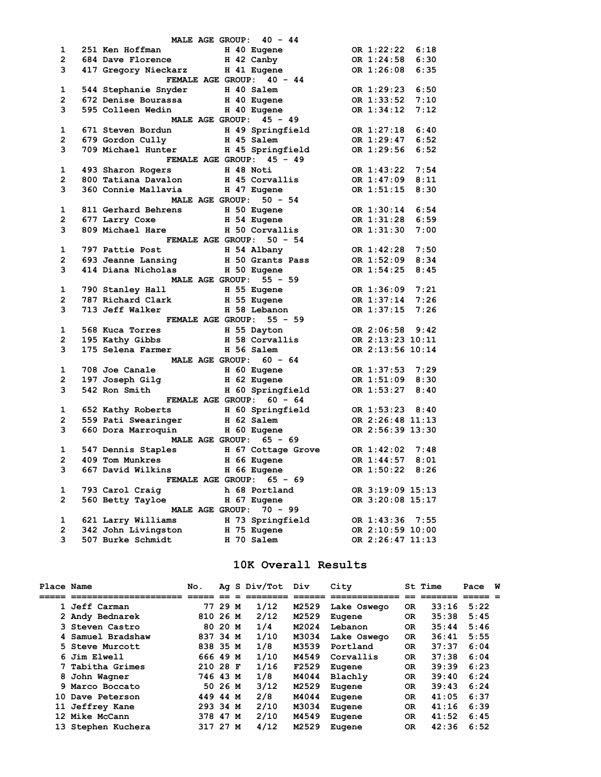|                |                   | MALE AGE GROUP: 40 - 44                                                                                                                                                                       |                                    |
|----------------|-------------------|-----------------------------------------------------------------------------------------------------------------------------------------------------------------------------------------------|------------------------------------|
| $\mathbf{1}$   |                   | 251 Ken Hoffman and H 40 Eugene OR 1:22:22<br>684 Dave Florence H 42 Canby OR 1:24:58<br>417 Gregory Nieckarz H 41 Eugene OR 1:26:08<br>FEMALE AGE GROUP: 40 - 44                             | OR 1:22:22 6:18                    |
| $2^{\circ}$    |                   |                                                                                                                                                                                               | 6:30                               |
| $3^{\circ}$    |                   |                                                                                                                                                                                               | 6:35                               |
|                |                   |                                                                                                                                                                                               |                                    |
| $\mathbf{1}$   |                   |                                                                                                                                                                                               | OR 1:29:23 6:50                    |
| $2^{\circ}$    |                   |                                                                                                                                                                                               |                                    |
| 3              |                   |                                                                                                                                                                                               |                                    |
|                |                   | MALE AGE GROUP: 45 - 49                                                                                                                                                                       |                                    |
|                |                   | 1 671 Steven Bordun H 49 Springfield OR 1:27:18 6:40<br>2 679 Gordon Cully H 45 Salem OR 1:29:47 6:52<br>3 709 Michael Hunter H 45 Springfield OR 1:29:56 6:52                                |                                    |
|                |                   |                                                                                                                                                                                               |                                    |
|                |                   |                                                                                                                                                                                               |                                    |
|                |                   | FEMALE AGE GROUP: 45 - 49                                                                                                                                                                     |                                    |
| $\mathbf{1}$   |                   |                                                                                                                                                                                               | OR 1:43:22<br>7:54                 |
| $\mathbf{2}$   |                   |                                                                                                                                                                                               | OR 1:47:09 8:11                    |
| 3              |                   |                                                                                                                                                                                               | OR 1:51:15<br>8:30                 |
|                |                   | MALE AGE GROUP: 50 - 54                                                                                                                                                                       |                                    |
| 1              |                   |                                                                                                                                                                                               | OR 1:30:14<br>6:54                 |
| $\overline{2}$ |                   | 811 Gerhard Behrens 1990 Eugene 1:30:14<br>677 Larry Coxe 1991 Here 1991 Here 1991 Here 1:31:28<br>809 Michael Hare 1991 Here 1991 Here 1:31:30                                               | OR 1:31:28 6:59                    |
| $3^{\circ}$    |                   |                                                                                                                                                                                               | 7:00                               |
|                |                   | FEMALE AGE GROUP: 50 - 54                                                                                                                                                                     |                                    |
| 1              |                   |                                                                                                                                                                                               | OR 1:42:28 7:50<br>OP 1-50         |
| $\overline{2}$ |                   | 997 Pattie Post H 54 Albany<br>693 Jeanne Lansing H 50 Grants Pass<br>414 Diana Nicholas H 50 Eugene<br>MALE AGE GROUP: 55 - 59                                                               | OR 1:52:09 8:34                    |
| $3^{\circ}$    |                   |                                                                                                                                                                                               | OR 1:54:25<br>8:45                 |
|                |                   |                                                                                                                                                                                               |                                    |
| $\mathbf{1}$   |                   |                                                                                                                                                                                               |                                    |
| $\mathbf{2}$   |                   |                                                                                                                                                                                               |                                    |
| 3              |                   |                                                                                                                                                                                               |                                    |
|                |                   | 790 Stanley Hall H 55 Eugene OR 1:36:09 7:21<br>787 Richard Clark H 55 Eugene OR 1:37:14 7:26<br>713 Jeff Walker H 58 Lebanon OR 1:37:15 7:26<br>FEMALE AGE GROUP: 55 - 59                    |                                    |
| $\mathbf{1}$   |                   |                                                                                                                                                                                               |                                    |
| $\mathbf{2}$   |                   |                                                                                                                                                                                               |                                    |
| 3              |                   |                                                                                                                                                                                               |                                    |
|                |                   |                                                                                                                                                                                               |                                    |
| $\mathbf{1}$   |                   | bs<br>mer H 56 Salem UK 2.10.00 -<br>MALE AGE GROUP: 60 - 64<br>1 60 Eugene OR 1:37:53 7:29                                                                                                   |                                    |
| $\mathbf{2}$   |                   |                                                                                                                                                                                               |                                    |
| 3              |                   |                                                                                                                                                                                               | OR 1:51:09 8:30<br>OR 1:53:27 8:40 |
|                |                   |                                                                                                                                                                                               |                                    |
| $\mathbf{1}$   | 652 Kathy Roberts | UR 1:53:27 8:40<br>UR 1:53:27 8:40<br>S59 Pati Swearinger H 60 Springfield OR 1:53:23 8:40<br>660 Dora Marroquin H 60 Eugene MALE AGE GROUP: 65<br>MALE AGE GROUP: 65<br>F47 Dennis Strates   |                                    |
| $2^{\circ}$    |                   |                                                                                                                                                                                               |                                    |
| 3              |                   |                                                                                                                                                                                               |                                    |
|                |                   |                                                                                                                                                                                               |                                    |
| $\mathbf{1}$   |                   |                                                                                                                                                                                               |                                    |
| $\mathbf{2}$   |                   |                                                                                                                                                                                               |                                    |
| 3              |                   |                                                                                                                                                                                               |                                    |
|                |                   | 547 Dennis Staples<br>409 Tom Munkres<br>667 David Wilkins<br>667 David Wilkins<br>668 Eugene<br>667 David Wilkins<br>668 Eugene<br>668 Eugene<br>668 CROUP: 65 - 69<br>67 OR 1:50:22<br>8:26 |                                    |
| $\mathbf{1}$   |                   |                                                                                                                                                                                               |                                    |
| $2^{\circ}$    |                   | 793 Carol Craig<br>560 Betty Tayloe 15:13<br>560 Betty Tayloe 15:17<br>560 Betty Tayloe 15:17                                                                                                 |                                    |
|                |                   |                                                                                                                                                                                               |                                    |
| $\mathbf{1}$   |                   | $\frac{1}{2}$ MALE AGE GROUP: 70 - 99                                                                                                                                                         |                                    |
| $2^{\circ}$    |                   | 621 Larry Williams H 73 Springfield OR 1:43:36 7:55<br>342 John Livingston H 75 Eugene OR 2:10:59 10:00<br>507 Burke Schmidt H 70 Salem OR 2:26:47 11:13                                      |                                    |
| 3              |                   |                                                                                                                                                                                               |                                    |
|                |                   |                                                                                                                                                                                               |                                    |

### **10K Overall Results**

| Place Name |                     | No.      |         | Ag S Div/Tot | Div   | City        |           | St Time | Pace | พ |
|------------|---------------------|----------|---------|--------------|-------|-------------|-----------|---------|------|---|
|            |                     |          |         |              |       |             |           |         |      |   |
|            | 1 Jeff Carman       |          | 77 29 M | 1/12         | M2529 | Lake Oswego | <b>OR</b> | 33:16   | 5:22 |   |
|            | 2 Andy Bednarek     | 810 26 M |         | 2/12         | M2529 | Eugene      | 0R        | 35:38   | 5:45 |   |
|            | 3 Steven Castro     |          | 80 20 M | 1/4          | M2024 | Lebanon     | <b>OR</b> | 35:44   | 5:46 |   |
|            | 4 Samuel Bradshaw   | 837 34 M |         | 1/10         | M3034 | Lake Oswego | OR.       | 36:41   | 5:55 |   |
|            | 5 Steve Murcott     | 838 35 M |         | 1/8          | M3539 | Portland    | <b>OR</b> | 37:37   | 6:04 |   |
|            | 6 Jim Elwell        | 666 49 M |         | 1/10         | M4549 | Corvallis   | <b>OR</b> | 37:38   | 6:04 |   |
|            | 7 Tabitha Grimes    | 210 28 F |         | 1/16         | F2529 | Eugene      | OR.       | 39:39   | 6:23 |   |
| 8          | John Wagner         | 746 43 M |         | 1/8          | M4044 | Blachly     | OR.       | 39:40   | 6:24 |   |
|            | 9 Marco Boccato     | 50.      | 26 M    | 3/12         | M2529 | Eugene      | OR.       | 39:43   | 6:24 |   |
|            | 10 Dave Peterson    | 449 44 M |         | 2/8          | M4044 | Eugene      | OR.       | 41:05   | 6:37 |   |
| 11         | <b>Jeffrey Kane</b> | 293 34 M |         | 2/10         | M3034 | Eugene      | OR.       | 41:16   | 6:39 |   |
|            | 12 Mike McCann      | 378 47 M |         | 2/10         | M4549 | Eugene      | OR.       | 41:52   | 6:45 |   |
|            | 13 Stephen Kuchera  | 317 27 M |         | 4/12         | M2529 | Eugene      | <b>OR</b> | 42:36   | 6:52 |   |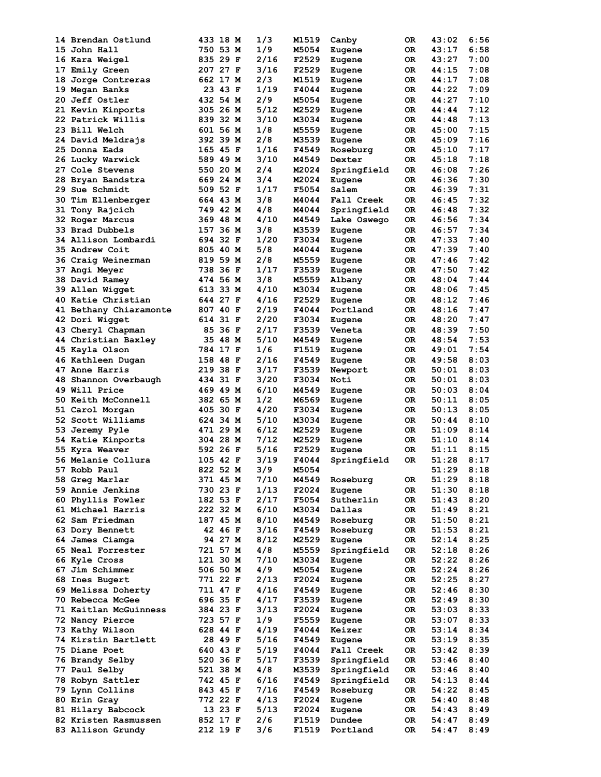| 14 Brendan Ostlund       | 433 18 M | 1/3  | M1519 | Canby       | 0R  | 43:02 | 6:56 |
|--------------------------|----------|------|-------|-------------|-----|-------|------|
| 15 John Hall             | 750 53 M | 1/9  | M5054 | Eugene      | 0R  | 43:17 | 6:58 |
| 16 Kara Weigel           | 835 29 F | 2/16 | F2529 | Eugene      | 0R  | 43:27 | 7:00 |
| 17<br>Emily Green        | 207 27 F | 3/16 | F2529 | Eugene      | 0R  | 44:15 | 7:08 |
| Jorge Contreras<br>18.   | 662 17 M | 2/3  | M1519 | Eugene      | OR. | 44:17 | 7:08 |
|                          |          |      |       |             |     | 44:22 |      |
| 19 Megan Banks           | 23 43 F  | 1/19 | F4044 | Eugene      | 0R  |       | 7:09 |
| 20 Jeff Ostler           | 432 54 M | 2/9  | M5054 | Eugene      | OR  | 44:27 | 7:10 |
| 21 Kevin Kinports        | 305 26 M | 5/12 | M2529 | Eugene      | 0R  | 44:44 | 7:12 |
| 22 Patrick Willis        | 839 32 M | 3/10 | M3034 | Eugene      | 0R  | 44:48 | 7:13 |
| 23 Bill Welch            | 601 56 M | 1/8  | M5559 | Eugene      | OR  | 45:00 | 7:15 |
| 24 David Meldrajs        | 392 39 M | 2/8  | M3539 | Eugene      | 0R  | 45:09 | 7:16 |
| 25 Donna Eads            | 165 45 F | 1/16 | F4549 | Roseburg    | ОR  | 45:10 | 7:17 |
| 26 Lucky Warwick         | 589 49 M | 3/10 | M4549 | Dexter      | ОR  | 45:18 | 7:18 |
|                          | 550 20 M | 2/4  | M2024 |             |     | 46:08 | 7:26 |
| <b>27 Cole Stevens</b>   |          |      |       | Springfield | 0R  |       |      |
| 28 Bryan Bandstra        | 669 24 M | 3/4  | M2024 | Eugene      | 0R  | 46:36 | 7:30 |
| <b>29 Sue Schmidt</b>    | 509 52 F | 1/17 | F5054 | Salem       | ОR  | 46:39 | 7:31 |
| 30 Tim Ellenberger       | 664 43 M | 3/8  | M4044 | Fall Creek  | ОR  | 46:45 | 7:32 |
| 31 Tony Rajcich          | 749 42 M | 4/8  | M4044 | Springfield | 0R  | 46:48 | 7:32 |
| 32 Roger Marcus          | 369 48 M | 4/10 | M4549 | Lake Oswego | 0R  | 46:56 | 7:34 |
| 33 Brad Dubbels          | 157 36 M | 3/8  | M3539 | Eugene      | 0R  | 46:57 | 7:34 |
| 34 Allison Lombardi      | 694 32 F | 1/20 | F3034 | Eugene      | 0R  | 47:33 | 7:40 |
|                          |          |      |       |             |     |       | 7:40 |
| 35 Andrew Coit           | 805 40 M | 5/8  | M4044 | Eugene      | 0R  | 47:39 |      |
| 36 Craig Weinerman       | 819 59 M | 2/8  | M5559 | Eugene      | OR  | 47:46 | 7:42 |
| <b>37 Angi Meyer</b>     | 738 36 F | 1/17 | F3539 | Eugene      | 0R  | 47:50 | 7:42 |
| 38 David Ramey           | 474 56 M | 3/8  | M5559 | Albany      | OR. | 48:04 | 7:44 |
| 39 Allen Wigget          | 613 33 M | 4/10 | M3034 | Eugene      | 0R  | 48:06 | 7:45 |
| 40 Katie Christian       | 644 27 F | 4/16 | F2529 | Eugene      | OR  | 48:12 | 7:46 |
| 41 Bethany Chiaramonte   | 807 40 F | 2/19 | F4044 | Portland    | 0R  | 48:16 | 7:47 |
| 42 Dori Wigget           | 614 31 F | 2/20 | F3034 | Eugene      | 0R  | 48:20 | 7:47 |
|                          |          | 2/17 |       |             | ОR  | 48:39 | 7:50 |
| 43 Cheryl Chapman        | 85 36 F  |      | F3539 | Veneta      |     |       |      |
| 44 Christian Baxley      | 35 48 M  | 5/10 | M4549 | Eugene      | 0R  | 48:54 | 7:53 |
| 45 Kayla Olson           | 784 17 F | 1/6  | F1519 | Eugene      | ОR  | 49:01 | 7:54 |
| 46 Kathleen Dugan        | 158 48 F | 2/16 | F4549 | Eugene      | 0R  | 49:58 | 8:03 |
| <b>47 Anne Harris</b>    | 219 38 F | 3/17 | F3539 | Newport     | 0R  | 50:01 | 8:03 |
| Shannon Overbaugh<br>48. | 434 31 F | 3/20 | F3034 | Noti        | 0R  | 50:01 | 8:03 |
| 49 Will Price            | 469 49 M | 6/10 | M4549 | Eugene      | ОR  | 50:03 | 8:04 |
| 50.<br>Keith McConnell   | 382 65 M | 1/2  | M6569 |             | ОR  | 50:11 | 8:05 |
|                          |          |      |       | Eugene      |     |       |      |
| 51 Carol Morgan          | 405 30 F | 4/20 | F3034 | Eugene      | 0R  | 50:13 | 8:05 |
| 52 Scott Williams        | 624 34 M | 5/10 | M3034 | Eugene      | 0R  | 50:44 | 8:10 |
| 53 Jeremy Pyle           | 471 29 M | 6/12 | M2529 | Eugene      | 0R  | 51:09 | 8:14 |
| 54 Katie Kinports        | 304 28 M | 7/12 | M2529 | Eugene      | 0R  | 51:10 | 8:14 |
| 55 Kyra Weaver           | 592 26 F | 5/16 | F2529 | Eugene      | ОR  | 51:11 | 8:15 |
| 56 Melanie Collura       | 105 42 F | 3/19 | F4044 | Springfield | 0R  | 51:28 | 8:17 |
| 57 Robb Paul             | 822 52 M | 3/9  | M5054 |             |     | 51:29 | 8:18 |
| 58 Greg Marlar           | 371 45 M | 7/10 | M4549 | Roseburg    | 0R  | 51:29 | 8:18 |
|                          |          |      |       |             |     | 51:30 |      |
| <b>59 Annie Jenkins</b>  | 730 23 F | 1/13 | F2024 | Eugene      | OR  |       | 8:18 |
| 60 Phyllis Fowler        | 182 53 F | 2/17 | F5054 | Sutherlin   | OR  | 51:43 | 8:20 |
| 61 Michael Harris        | 222 32 M | 6/10 | M3034 | Dallas      | OR  | 51:49 | 8:21 |
| 62 Sam Friedman          | 187 45 M | 8/10 | M4549 | Roseburg    | OR  | 51:50 | 8:21 |
| 63 Dory Bennett          | 42 46 F  | 3/16 | F4549 | Roseburg    | OR  | 51:53 | 8:21 |
| 64 James Ciamga          | 94 27 M  | 8/12 | M2529 | Eugene      | OR  | 52:14 | 8:25 |
| 65 Neal Forrester        | 721 57 M | 4/8  | M5559 | Springfield | OR  | 52:18 | 8:26 |
| 66 Kyle Cross            | 121 30 M | 7/10 | M3034 | Eugene      | OR  | 52:22 | 8:26 |
| 67 Jim Schimmer          | 506 50 M | 4/9  | M5054 |             |     | 52:24 | 8:26 |
|                          |          |      |       | Eugene      | OR  |       |      |
| 68 Ines Bugert           | 771 22 F | 2/13 | F2024 | Eugene      | OR  | 52:25 | 8:27 |
| 69 Melissa Doherty       | 711 47 F | 4/16 | F4549 | Eugene      | OR  | 52:46 | 8:30 |
| 70 Rebecca McGee         | 696 35 F | 4/17 | F3539 | Eugene      | OR  | 52:49 | 8:30 |
| 71 Kaitlan McGuinness    | 384 23 F | 3/13 | F2024 | Eugene      | OR  | 53:03 | 8:33 |
| 72 Nancy Pierce          | 723 57 F | 1/9  | F5559 | Eugene      | OR  | 53:07 | 8:33 |
| 73 Kathy Wilson          | 628 44 F | 4/19 | F4044 | Keizer      | OR  | 53:14 | 8:34 |
| 74 Kirstin Bartlett      | 28 49 F  | 5/16 | F4549 | Eugene      | OR  | 53:19 | 8:35 |
|                          |          |      |       |             |     |       |      |
| 75 Diane Poet            | 640 43 F | 5/19 | F4044 | Fall Creek  | OR  | 53:42 | 8:39 |
| 76 Brandy Selby          | 520 36 F | 5/17 | F3539 | Springfield | 0R  | 53:46 | 8:40 |
| 77 Paul Selby            | 521 38 M | 4/8  | M3539 | Springfield | 0R  | 53:46 | 8:40 |
| 78 Robyn Sattler         | 742 45 F | 6/16 | F4549 | Springfield | OR  | 54:13 | 8:44 |
| 79 Lynn Collins          | 843 45 F | 7/16 | F4549 | Roseburg    | OR  | 54:22 | 8:45 |
| 80 Erin Gray             | 772 22 F | 4/13 | F2024 | Eugene      | 0R. | 54:40 | 8:48 |
| 81 Hilary Babcock        | 13 23 F  | 5/13 | F2024 | Eugene      | OR  | 54:43 | 8:49 |
| 82 Kristen Rasmussen     | 852 17 F | 2/6  | F1519 | Dundee      | 0R  | 54:47 | 8:49 |
|                          |          |      |       |             |     |       |      |
| 83 Allison Grundy        | 212 19 F | 3/6  | F1519 | Portland    | OR  | 54:47 | 8:49 |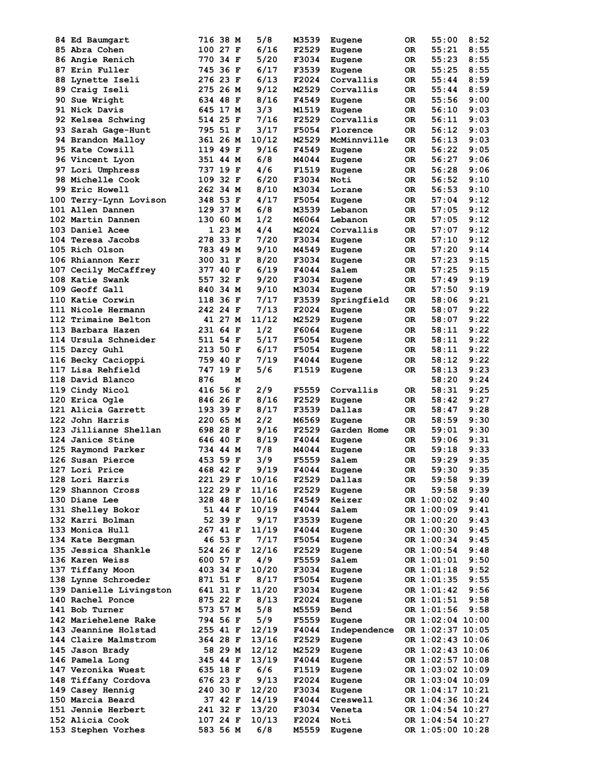| 84 Ed Baumgart          |     | 716 38 M | 5/8   | M3539 | Eugene       | 0R  | 55:00            | 8:52 |
|-------------------------|-----|----------|-------|-------|--------------|-----|------------------|------|
| 85 Abra Cohen           |     | 100 27 F | 6/16  | F2529 | Eugene       | 0R  | 55:21            | 8:55 |
| 86 Angie Renich         |     | 770 34 F | 5/20  | F3034 | Eugene       | 0R  | 55:23            | 8:55 |
| 87 Erin Fuller          |     | 745 36 F | 6/17  | F3539 | Eugene       | 0R  | 55:25            | 8:55 |
| <b>88 Lynette Iseli</b> |     | 276 23 F | 6/13  | F2024 | Corvallis    | ОR  | 55:44            | 8:59 |
|                         |     | 275 26 M | 9/12  | M2529 | Corvallis    | OR  | 55:44            | 8:59 |
| 89 Craig Iseli          |     |          |       |       |              |     |                  |      |
| <b>90 Sue Wright</b>    |     | 634 48 F | 8/16  | F4549 | Eugene       | 0R  | 55:56            | 9:00 |
| 91 Nick Davis           |     | 645 17 M | 3/3   | M1519 | Eugene       | 0R  | 56:10            | 9:03 |
| 92 Kelsea Schwing       |     | 514 25 F | 7/16  | F2529 | Corvallis    | 0R  | 56:11            | 9:03 |
| 93 Sarah Gage-Hunt      |     | 795 51 F | 3/17  | F5054 | Florence     | OR  | 56:12            | 9:03 |
| 94 Brandon Malloy       |     | 361 26 M | 10/12 | M2529 | McMinnville  | 0R  | 56:13            | 9:03 |
| 95 Kate Cowsill         |     | 119 49 F | 9/16  | F4549 | Eugene       | 0R  | 56:22            | 9:05 |
| 96 Vincent Lyon         |     | 351 44 M | 6/8   | M4044 | Eugene       | 0R  | 56:27            | 9:06 |
|                         |     | 737 19 F | 4/6   | F1519 |              |     | 56:28            | 9:06 |
| 97 Lori Umphress        |     |          |       |       | Eugene       | 0R  |                  |      |
| <b>98 Michelle Cook</b> |     | 109 32 F | 6/20  | F3034 | Noti         | ОR  | 56:52            | 9:10 |
| <b>99 Eric Howell</b>   |     | 262 34 M | 8/10  | M3034 | Lorane       | ОR  | 56:53            | 9:10 |
| 100 Terry-Lynn Lovison  |     | 348 53 F | 4/17  | F5054 | Eugene       | OR  | 57:04            | 9:12 |
| 101 Allen Dannen        |     | 129 37 M | 6/8   | M3539 | Lebanon      | OR. | 57:05            | 9:12 |
| 102 Martin Dannen       |     | 130 60 M | 1/2   | M6064 | Lebanon      | 0R  | 57:05            | 9:12 |
| 103 Daniel Acee         |     | 1 23 M   | 4/4   | M2024 | Corvallis    | OR  | 57:07            | 9:12 |
| 104 Teresa Jacobs       |     | 278 33 F | 7/20  | F3034 | Eugene       | 0R  | 57:10            | 9:12 |
|                         |     | 783 49 M | 9/10  |       |              |     |                  | 9:14 |
| 105 Rich Olson          |     |          |       | M4549 | Eugene       | 0R  | 57:20            |      |
| 106 Rhiannon Kerr       |     | 300 31 F | 8/20  | F3034 | Eugene       | 0R. | 57:23            | 9:15 |
| 107 Cecily McCaffrey    |     | 377 40 F | 6/19  | F4044 | Salem        | OR. | 57:25            | 9:15 |
| 108 Katie Swank         |     | 557 32 F | 9/20  | F3034 | Eugene       | ОR  | 57:49            | 9:19 |
| 109 Geoff Gall          |     | 840 34 M | 9/10  | M3034 | Eugene       | OR  | 57:50            | 9:19 |
| 110 Katie Corwin        |     | 118 36 F | 7/17  | F3539 | Springfield  | 0R  | 58:06            | 9:21 |
| 111 Nicole Hermann      |     | 242 24 F | 7/13  | F2024 | Eugene       | 0R  | 58:07            | 9:22 |
| 112 Trimaine Belton     |     | 41 27 M  | 11/12 | M2529 | Eugene       | 0R  | 58:07            | 9:22 |
| 113 Barbara Hazen       |     | 231 64 F | 1/2   | F6064 |              | OR  | 58:11            | 9:22 |
|                         |     |          |       |       | Eugene       |     |                  |      |
| 114 Ursula Schneider    |     | 511 54 F | 5/17  | F5054 | Eugene       | 0R  | 58:11            | 9:22 |
| 115 Darcy Guhl          |     | 213 50 F | 6/17  | F5054 | Eugene       | 0R  | 58:11            | 9:22 |
| 116 Becky Cacioppi      |     | 759 40 F | 7/19  | F4044 | Eugene       | 0R. | 58:12            | 9:22 |
| 117 Lisa Rehfield       |     | 747 19 F | 5/6   | F1519 | Eugene       | OR. | 58:13            | 9:23 |
| 118 David Blanco        | 876 | М        |       |       |              |     | 58:20            | 9:24 |
| 119 Cindy Nicol         |     | 416 56 F | 2/9   | F5559 | Corvallis    | 0R  | 58:31            | 9:25 |
| 120 Erica Ogle          |     | 846 26 F | 8/16  | F2529 | Eugene       | 0R  | 58:42            | 9:27 |
|                         |     |          |       |       |              |     |                  |      |
| 121 Alicia Garrett      |     | 193 39 F | 8/17  | F3539 | Dallas       | OR. | 58:47            | 9:28 |
| 122 John Harris         |     | 220 65 M | 2/2   | M6569 | Eugene       | 0R  | 58:59            | 9:30 |
| 123 Jillianne Shellan   |     | 698 28 F | 9/16  | F2529 | Garden Home  | 0R  | 59:01            | 9:30 |
| 124 Janice Stine        |     | 646 40 F | 8/19  | F4044 | Eugene       | 0R  | 59:06            | 9:31 |
| 125 Raymond Parker      |     | 734 44 M | 7/8   | M4044 | Eugene       | 0R  | 59:18            | 9:33 |
| 126 Susan Pierce        |     | 453 59 F | 3/9   | F5559 | Salem        | 0R. | 59:29            | 9:35 |
| 127 Lori Price          |     | 468 42 F | 9/19  | F4044 | Eugene       | 0R  | 59:30            | 9:35 |
| 128 Lori Harris         |     | 221 29 F | 10/16 | F2529 | Dallas       | OR  | 59:58            | 9:39 |
|                         |     |          |       |       |              |     |                  |      |
| 129 Shannon Cross       |     | 122 29 F | 11/16 | F2529 | Eugene       | OR  | 59:58            | 9:39 |
| 130 Diane Lee           |     | 328 48 F | 10/16 | F4549 | Keizer       |     | OR 1:00:02       | 9:40 |
| 131 Shelley Bokor       |     | 51 44 F  | 10/19 | F4044 | Salem        |     | OR 1:00:09       | 9:41 |
| 132 Karri Bolman        |     | 52 39 F  | 9/17  | F3539 | Eugene       |     | OR 1:00:20       | 9:43 |
| 133 Monica Hull         |     | 267 41 F | 11/19 | F4044 | Eugene       |     | OR 1:00:30       | 9:45 |
| 134 Kate Bergman        |     | 46 53 F  | 7/17  | F5054 | Eugene       |     | OR 1:00:34       | 9:45 |
| 135 Jessica Shankle     |     | 524 26 F | 12/16 | F2529 | Eugene       |     | OR 1:00:54       | 9:48 |
| 136 Karen Weiss         |     |          | 4/9   |       |              |     |                  | 9:50 |
|                         |     | 600 57 F |       | F5559 | Salem        |     | OR 1:01:01       |      |
| 137 Tiffany Moon        |     | 403 34 F | 10/20 | F3034 | Eugene       |     | OR 1:01:18       | 9:52 |
| 138 Lynne Schroeder     |     | 871 51 F | 8/17  | F5054 | Eugene       |     | OR 1:01:35       | 9:55 |
| 139 Danielle Livingston |     | 641 31 F | 11/20 | F3034 | Eugene       |     | OR 1:01:42       | 9:56 |
| 140 Rachel Ponce        |     | 875 22 F | 8/13  | F2024 | Eugene       |     | OR 1:01:51       | 9:58 |
| 141 Bob Turner          |     | 573 57 M | 5/8   | M5559 | Bend         |     | OR 1:01:56       | 9:58 |
| 142 Mariehelene Rake    |     | 794 56 F | 5/9   | F5559 | Eugene       |     | OR 1:02:04 10:00 |      |
| 143 Jeannine Holstad    |     | 255 41 F | 12/19 | F4044 |              |     | OR 1:02:37 10:05 |      |
|                         |     |          |       |       | Independence |     |                  |      |
| 144 Claire Malmstrom    |     | 364 28 F | 13/16 | F2529 | Eugene       |     | OR 1:02:43 10:06 |      |
| 145 Jason Brady         |     | 58 29 M  | 12/12 | M2529 | Eugene       |     | OR 1:02:43 10:06 |      |
| 146 Pamela Long         |     | 345 44 F | 13/19 | F4044 | Eugene       |     | OR 1:02:57 10:08 |      |
| 147 Veronika Wuest      |     | 635 18 F | 6/6   | F1519 | Eugene       |     | OR 1:03:02 10:09 |      |
| 148 Tiffany Cordova     |     | 676 23 F | 9/13  | F2024 | Eugene       |     | OR 1:03:04 10:09 |      |
| 149 Casey Hennig        |     | 240 30 F | 12/20 | F3034 | Eugene       |     | OR 1:04:17 10:21 |      |
| 150 Marcia Beard        |     | 37 42 F  | 14/19 | F4044 |              |     | OR 1:04:36 10:24 |      |
|                         |     |          |       |       | Creswell     |     |                  |      |
| 151 Jennie Herbert      |     | 241 32 F | 13/20 | F3034 | Veneta       |     | OR 1:04:54 10:27 |      |
| 152 Alicia Cook         |     | 107 24 F | 10/13 | F2024 | Noti         |     | OR 1:04:54 10:27 |      |
| 153 Stephen Vorhes      |     | 583 56 M | 6/8   | M5559 | Eugene       |     | OR 1:05:00 10:28 |      |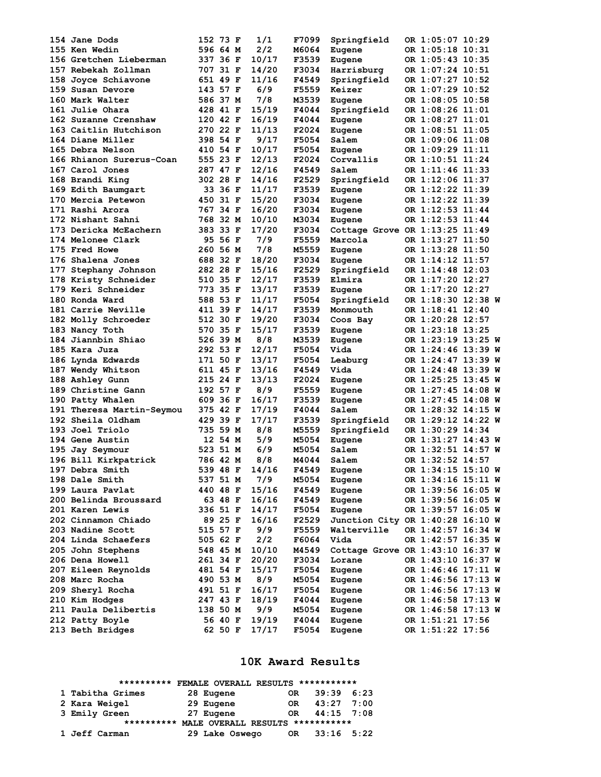| 154 Jane Dods                       | 152 73 F |         | 1/1   | F7099        | Springfield                        | OR 1:05:07 10:29   |  |
|-------------------------------------|----------|---------|-------|--------------|------------------------------------|--------------------|--|
| <b>155 Ken Wedin</b>                | 596 64 M |         | 2/2   | M6064        | Eugene                             | OR 1:05:18 10:31   |  |
| 156 Gretchen Lieberman              | 337 36 F |         | 10/17 | F3539        | Eugene                             | OR 1:05:43 10:35   |  |
| 157 Rebekah Zollman                 | 707 31 F |         | 14/20 | F3034        | Harrisburg                         | OR 1:07:24 10:51   |  |
| 158 Joyce Schiavone                 | 651 49 F |         | 11/16 | F4549        | Springfield                        | OR 1:07:27 10:52   |  |
| 159 Susan Devore                    | 143 57 F |         | 6/9   | F5559        | Keizer                             | OR 1:07:29 10:52   |  |
| 160 Mark Walter                     | 586 37 M |         | 7/8   | M3539        | Eugene                             | OR 1:08:05 10:58   |  |
| 161 Julie Ohara                     | 428 41 F |         | 15/19 | F4044        | Springfield                        | OR 1:08:26 11:01   |  |
| 162 Suzanne Crenshaw                | 120 42 F |         | 16/19 | F4044        | Eugene                             | OR 1:08:27 11:01   |  |
| 163 Caitlin Hutchison               | 270 22 F |         | 11/13 | F2024        | Eugene                             | OR 1:08:51 11:05   |  |
| 164 Diane Miller                    |          |         | 9/17  | F5054        |                                    |                    |  |
|                                     | 398 54 F |         |       |              | Salem                              | OR 1:09:06 11:08   |  |
| 165 Debra Nelson                    | 410 54 F |         | 10/17 | F5054        | Eugene                             | OR 1:09:29 11:11   |  |
| 166 Rhianon Surerus-Coan            | 555 23 F |         | 12/13 | F2024        | Corvallis                          | OR 1:10:51 11:24   |  |
| 167 Carol Jones                     | 287 47 F |         | 12/16 | F4549        | Salem                              | OR 1:11:46 11:33   |  |
| 168 Brandi King                     | 302 28 F |         | 14/16 | F2529        | Springfield                        | OR 1:12:06 11:37   |  |
| 169 Edith Baumgart                  |          | 33 36 F | 11/17 | F3539        | Eugene                             | OR 1:12:22 11:39   |  |
| 170 Mercia Petewon                  | 450 31 F |         | 15/20 | F3034        | Eugene                             | OR 1:12:22 11:39   |  |
| 171 Rashi Arora                     | 767 34 F |         | 16/20 | F3034        | Eugene                             | OR 1:12:53 11:44   |  |
| 172 Nishant Sahni                   | 768 32 M |         | 10/10 | M3034        | Eugene                             | OR 1:12:53 11:44   |  |
| 173 Dericka McEachern               | 383 33 F |         | 17/20 | F3034        | Cottage Grove OR $1:13:25$ $11:49$ |                    |  |
| 174 Melonee Clark                   |          | 95 56 F | 7/9   | F5559        | Marcola                            | OR 1:13:27 11:50   |  |
| 175 Fred Howe                       | 260 56 M |         | 7/8   | M5559        | Eugene                             | OR 1:13:28 11:50   |  |
| 176 Shalena Jones                   | 688 32 F |         | 18/20 | F3034        | Eugene                             | OR 1:14:12 11:57   |  |
| 177 Stephany Johnson                | 282 28 F |         | 15/16 | F2529        | Springfield                        | OR 1:14:48 12:03   |  |
| 178 Kristy Schneider                | 510 35 F |         | 12/17 | F3539        | Elmira                             | OR 1:17:20 12:27   |  |
| 179 Keri Schneider                  | 773 35 F |         | 13/17 | F3539        |                                    | OR 1:17:20 12:27   |  |
|                                     |          |         |       |              | Eugene                             |                    |  |
| 180 Ronda Ward                      | 588 53 F |         | 11/17 | <b>F5054</b> | Springfield                        | OR 1:18:30 12:38 W |  |
| 181 Carrie Neville                  | 411 39 F |         | 14/17 | F3539        | Monmouth                           | OR 1:18:41 12:40   |  |
| 182 Molly Schroeder                 | 512 30 F |         | 19/20 | F3034        | Coos Bay                           | OR 1:20:28 12:57   |  |
| 183 Nancy Toth                      | 570 35 F |         | 15/17 | F3539        | Eugene                             | OR 1:23:18 13:25   |  |
| 184 Jiannbin Shiao                  | 526 39 M |         | 8/8   | M3539        | Eugene                             | OR 1:23:19 13:25 W |  |
| 185 Kara Juza                       | 292 53 F |         | 12/17 | F5054        | Vida                               | OR 1:24:46 13:39 W |  |
| 186 Lynda Edwards                   | 171 50 F |         | 13/17 | F5054        | Leaburg                            | OR 1:24:47 13:39 W |  |
| <b>187 Wendy Whitson</b>            | 611 45 F |         | 13/16 | F4549        | Vida                               | OR 1:24:48 13:39 W |  |
| 188 Ashley Gunn                     | 215 24 F |         | 13/13 | F2024        | Eugene                             | OR 1:25:25 13:45 W |  |
| 189 Christine Gann                  | 192 57 F |         | 8/9   | F5559        | Eugene                             | OR 1:27:45 14:08 W |  |
| 190 Patty Whalen                    | 609 36 F |         | 16/17 | F3539        | Eugene                             | OR 1:27:45 14:08 W |  |
| 191 Theresa Martin-Seymou           | 375 42 F |         | 17/19 | F4044        | Salem                              | OR 1:28:32 14:15 W |  |
| 192 Sheila Oldham                   | 429 39 F |         | 17/17 | F3539        | Springfield                        | OR 1:29:12 14:22 W |  |
| 193 Joel Triolo                     | 735 59 M |         | 8/8   | M5559        | Springfield                        | OR 1:30:29 14:34   |  |
| 194 Gene Austin                     |          | 12 54 M | 5/9   | M5054        | Eugene                             | OR 1:31:27 14:43 W |  |
|                                     | 523 51 M |         | 6/9   | M5054        | Salem                              | OR 1:32:51 14:57 W |  |
| 195 Jay Seymour                     |          |         |       |              |                                    |                    |  |
| 196 Bill Kirkpatrick                | 786 42 M |         | 8/8   | M4044        | Salem                              | OR 1:32:52 14:57   |  |
| 197 Debra Smith                     | 539 48 F |         | 14/16 | F4549        | Eugene                             | OR 1:34:15 15:10 W |  |
| 198 Dale Smith                      | 537 51 M |         | 7/9   | M5054        | Eugene                             | OR 1:34:16 15:11 W |  |
| 199 Laura Pavlat                    | 440 48 F |         | 15/16 | F4549        | Eugene                             | OR 1:39:56 16:05 W |  |
| 200 Belinda Broussard               |          | 63 48 F | 16/16 | F4549        | Eugene                             | OR 1:39:56 16:05 W |  |
| 201 Karen Lewis                     | 336 51 F |         | 14/17 | F5054        | Eugene                             | OR 1:39:57 16:05 W |  |
| 202 Cinnamon Chiado                 |          | 89 25 F | 16/16 | F2529        | Junction City OR 1:40:28 16:10 W   |                    |  |
| 203 Nadine Scott                    | 515 57 F |         | 9/9   | F5559        | Walterville                        | OR 1:42:57 16:34 W |  |
| 204 Linda Schaefers                 | 505 62 F |         | 2/2   | F6064        | Vida                               | OR 1:42:57 16:35 W |  |
| 205 John Stephens                   | 548 45 M |         | 10/10 | M4549        | Cottage Grove OR $1:43:10$ 16:37 W |                    |  |
| 206 Dena Howell                     | 261 34 F |         | 20/20 | F3034        | Lorane                             | OR 1:43:10 16:37 W |  |
| 207 Eileen Reynolds                 | 481 54 F |         | 15/17 | F5054        | Eugene                             | OR 1:46:46 17:11 W |  |
| 208 Marc Rocha                      | 490 53 M |         | 8/9   | M5054        | Eugene                             | OR 1:46:56 17:13 W |  |
| 209 Sheryl Rocha                    | 491 51 F |         | 16/17 | F5054        | Eugene                             | OR 1:46:56 17:13 W |  |
|                                     |          |         |       |              |                                    |                    |  |
| 210 Kim Hodges                      | 247 43 F |         | 18/19 | F4044        | Eugene                             | OR 1:46:58 17:13 W |  |
| 211 Paula Delibertis                | 138 50 M |         | 9/9   | M5054        | Eugene                             | OR 1:46:58 17:13 W |  |
|                                     |          |         | 19/19 | F4044        | Eugene                             | OR 1:51:21 17:56   |  |
| 212 Patty Boyle<br>213 Beth Bridges | 56 40 F  | 62 50 F | 17/17 | F5054        | Eugene                             | OR 1:51:22 17:56   |  |

#### **10K Award Results**

| **********       | FEMALE OVERALL RESULTS *********** |     |              |  |
|------------------|------------------------------------|-----|--------------|--|
| 1 Tabitha Grimes | 28 Eugene                          | OR. | $39:39$ 6:23 |  |
| 2 Kara Weigel    | 29 Eugene                          | OR. | $43:27$ 7:00 |  |
| 3 Emily Green    | 27 Eugene                          | 0R  | $44:15$ 7:08 |  |
| **********       | MALE OVERALL RESULTS               |     | ***********  |  |
| 1 Jeff Carman    | 29 Lake Oswego                     | OR. | $33:16$ 5:22 |  |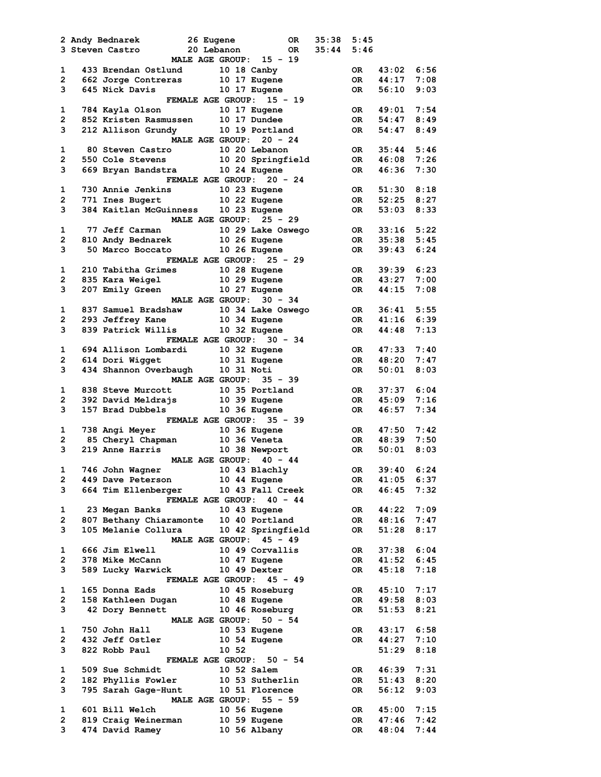|                | 2 Andy Bednarek     | 26 Eugene                                                                                          |                        | OR DO                                 | 35:38 | 5:45            |                 |      |
|----------------|---------------------|----------------------------------------------------------------------------------------------------|------------------------|---------------------------------------|-------|-----------------|-----------------|------|
|                | 3 Steven Castro     | -<br>20 Lebanon                                                                                    |                        | OR          35:44                     |       | 5:46            |                 |      |
|                |                     |                                                                                                    |                        | MALE AGE GROUP: 15 - 19               |       |                 |                 |      |
| $\mathbf{1}$   |                     |                                                                                                    |                        |                                       |       |                 | OR 43:02 6:56   |      |
| $\overline{2}$ |                     | 433 Brendan Ostlund 10 18 Canby<br>662 Jorge Contreras 10 17 Eugene<br>645 Nick Davis 10 17 Eugene |                        |                                       |       |                 | OR 44:17        | 7:08 |
| $3^{\circ}$    |                     |                                                                                                    |                        |                                       |       | OR              | 56:10           | 9:03 |
|                |                     | <b>FEMALE AGE GROUP:</b>                                                                           |                        | $15 - 19$                             |       |                 |                 |      |
| $\mathbf{1}$   |                     | 784 Kayla Olson 10 17 Eugene                                                                       |                        |                                       |       |                 | OR 49:01 7:54   |      |
| $2^{\sim}$     |                     | 852 Kristen Rasmussen 10 17 Dundee                                                                 |                        |                                       |       | <b>OR</b>       | 54:47           | 8:49 |
| 3              |                     |                                                                                                    |                        |                                       |       | OR DO           | 54:47           | 8:49 |
|                |                     | 212 Allison Grundy 10 19 Portland                                                                  |                        |                                       |       |                 |                 |      |
|                |                     |                                                                                                    |                        | MALE AGE GROUP: 20 - 24               |       |                 |                 |      |
| $\mathbf{1}$   |                     | 80 Steven Castro 10 20 Lebanon                                                                     |                        |                                       |       | OR DR           | 35:44           | 5:46 |
| $\mathbf{2}$   |                     |                                                                                                    |                        | 550 Cole Stevens 10 20 Springfield    |       | OR DO           | 46:08           | 7:26 |
| 3              |                     | 669 Bryan Bandstra 10 24 Eugene                                                                    |                        |                                       |       | OR DR           | 46:36           | 7:30 |
|                |                     | FEMALE AGE GROUP: 20 - 24                                                                          |                        |                                       |       |                 |                 |      |
| 1              |                     | 730 Annie Jenkins 10 23 Eugene                                                                     |                        |                                       |       | OR DR           | 51:30 8:18      |      |
|                |                     |                                                                                                    |                        |                                       |       |                 | OR 52:25 8:27   |      |
|                |                     | 2 771 Ines Bugert 10 22 Eugene<br>3 384 Kaitlan McGuinness 10 23 Eugene                            |                        |                                       |       | <b>OR</b>       | $53:03$ $8:33$  |      |
|                |                     |                                                                                                    |                        | MALE AGE GROUP: 25 - 29               |       |                 |                 |      |
| $\mathbf{1}$   |                     |                                                                                                    |                        |                                       |       |                 | OR 33:16 5:22   |      |
| $\mathbf{2}$   |                     |                                                                                                    |                        |                                       |       |                 | OR 35:38 5:45   |      |
| 3              |                     |                                                                                                    |                        |                                       |       | <b>OR</b>       | 39:43           | 6:24 |
|                |                     |                                                                                                    |                        |                                       |       |                 |                 |      |
|                |                     |                                                                                                    |                        | FEMALE AGE GROUP: 25 - 29             |       |                 |                 |      |
| $\mathbf{1}$   |                     | 210 Tabitha Grimes 10 28 Eugene<br>835 Kara Weigel 10 29 Eugene                                    |                        |                                       |       |                 | OR 39:39        | 6:23 |
| $\mathbf{2}$   | 835 Kara Weigel     |                                                                                                    |                        |                                       |       |                 | OR 43:27        | 7:00 |
| 3              |                     | 207 Emily Green                                                                                    |                        | 10 27 Eugene                          |       |                 | OR 44:15        | 7:08 |
|                |                     |                                                                                                    |                        | MALE AGE GROUP: 30 - 34               |       |                 |                 |      |
| $\mathbf{1}$   |                     |                                                                                                    |                        | 837 Samuel Bradshaw 10 34 Lake Oswego |       |                 | OR 36:41 5:55   |      |
| $2^{\sim}$     |                     | 293 Jeffrey Kane 10 34 Eugene                                                                      |                        |                                       |       | OR <sub>1</sub> | 41:16           | 6:39 |
| 3              |                     | 839 Patrick Willis 10 32 Eugene                                                                    |                        |                                       |       | OR              | 44:48           | 7:13 |
|                |                     |                                                                                                    |                        | FEMALE AGE GROUP: 30 - 34             |       |                 |                 |      |
| $\mathbf{1}$   |                     | 694 Allison Lombardi 10 32 Eugene                                                                  |                        |                                       |       | OR DR           | 47:33           | 7:40 |
| $2^{\circ}$    |                     | 614 Dori Wigget 10 31 Eugene                                                                       |                        |                                       |       | OR DR           | 48:20           | 7:47 |
| 3              |                     | 434 Shannon Overbaugh 10 31 Noti                                                                   |                        |                                       |       |                 | $50:01$ 8:03    |      |
|                |                     |                                                                                                    |                        |                                       |       | OR DR           |                 |      |
|                |                     |                                                                                                    |                        | MALE AGE GROUP: 35 - 39               |       |                 |                 |      |
| 1              |                     | 838 Steve Murcott 10 35 Portland                                                                   |                        |                                       |       | OR              | 37:37           | 6:04 |
| $\mathbf{2}$   |                     | 392 David Meldrajs 10 39 Eugene<br>157 Brad Dubbels 10 36 Eugene                                   |                        |                                       |       | OR DR           | 45:09           | 7:16 |
| 3              |                     |                                                                                                    |                        |                                       |       | <b>OR</b>       | 46:57           | 7:34 |
|                |                     |                                                                                                    |                        | FEMALE AGE GROUP: 35 - 39             |       |                 |                 |      |
|                | 1 738 Angi Meyer    | 738 Angi Meyer 10 36 Eugene<br>85 Cheryl Chapman 10 36 Veneta<br>219 Anne Harris 10 38 Newport     |                        |                                       |       |                 | OR  47:50  7:42 |      |
| $\mathbf{2}$   |                     |                                                                                                    |                        |                                       |       |                 | OR 48:39 7:50   |      |
| 3              |                     |                                                                                                    |                        |                                       |       | <b>OR</b>       | 50:01           | 8:03 |
|                |                     |                                                                                                    |                        | MALE AGE GROUP: 40 - 44               |       |                 |                 |      |
| 1              | 746 John Wagner     |                                                                                                    |                        | 10 43 Blachly                         |       | OR.             | 39:40           | 6:24 |
| 2              | 449 Dave Peterson   |                                                                                                    |                        | 10 44 Eugene                          |       | OR              | 41:05           | 6:37 |
| 3              |                     | 664 Tim Ellenberger                                                                                |                        | 10 43 Fall Creek                      |       | OR.             | 46:45           | 7:32 |
|                |                     |                                                                                                    |                        |                                       |       |                 |                 |      |
|                |                     |                                                                                                    |                        | FEMALE AGE GROUP: 40 - 44             |       |                 |                 |      |
| 1              | 23 Megan Banks      |                                                                                                    | 10 43 Eugene           |                                       |       | OR              | 44:22           | 7:09 |
| 2              |                     | 807 Bethany Chiaramonte 10 40 Portland                                                             |                        |                                       |       | OR              | 48:16           | 7:47 |
| 3              | 105 Melanie Collura |                                                                                                    |                        | 10 42 Springfield                     |       | OR              | 51:28           | 8:17 |
|                |                     |                                                                                                    |                        | MALE AGE GROUP: 45 - 49               |       |                 |                 |      |
| 1              | 666 Jim Elwell      |                                                                                                    |                        | 10 49 Corvallis                       |       | 0R.             | 37:38           | 6:04 |
| 2              | 378 Mike McCann     |                                                                                                    |                        | 10 47 Eugene                          |       | OR.             | 41:52           | 6:45 |
| з              | 589 Lucky Warwick   |                                                                                                    |                        | 10 49 Dexter                          |       | OR.             | 45:18           | 7:18 |
|                |                     |                                                                                                    |                        | FEMALE AGE GROUP: 45 - 49             |       |                 |                 |      |
| 1              | 165 Donna Eads      |                                                                                                    |                        | 10 45 Roseburg                        |       | OR.             | 45:10           | 7:17 |
| $\mathbf{2}$   | 158 Kathleen Dugan  |                                                                                                    | 10 48 Eugene           |                                       |       | OR.             | 49:58           | 8:03 |
| 3              |                     |                                                                                                    |                        | 10 46 Roseburg                        |       | OR              | 51:53           | 8:21 |
|                | 42 Dory Bennett     |                                                                                                    |                        |                                       |       |                 |                 |      |
|                |                     |                                                                                                    | <b>MALE AGE GROUP:</b> | $50 - 54$                             |       |                 |                 |      |
| 1              | 750 John Hall       |                                                                                                    |                        | 10 53 Eugene                          |       | OR              | 43:17           | 6:58 |
| 2              | 432 Jeff Ostler     |                                                                                                    |                        | 10 54 Eugene                          |       | OR              | 44:27           | 7:10 |
| 3              | 822 Robb Paul       |                                                                                                    | 10 52                  |                                       |       |                 | 51:29           | 8:18 |
|                |                     |                                                                                                    |                        | FEMALE AGE GROUP: 50 - 54             |       |                 |                 |      |
| 1              | 509 Sue Schmidt     |                                                                                                    | 10 52 Salem            |                                       |       | OR              | 46:39           | 7:31 |
| $\mathbf{2}$   | 182 Phyllis Fowler  |                                                                                                    |                        | 10 53 Sutherlin                       |       | OR              | 51:43           | 8:20 |
| 3              |                     | 795 Sarah Gage-Hunt                                                                                |                        | 10 51 Florence                        |       | OR.             | 56:12           | 9:03 |
|                |                     |                                                                                                    |                        | MALE AGE GROUP: 55 - 59               |       |                 |                 |      |
| 1              | 601 Bill Welch      |                                                                                                    |                        | 10 56 Eugene                          |       | 0R.             | 45:00           | 7:15 |
| 2              | 819 Craig Weinerman |                                                                                                    |                        | 10 59 Eugene                          |       | OR              | 47:46           | 7:42 |
| 3              | 474 David Ramey     |                                                                                                    |                        | 10 56 Albany                          |       | OR.             | 48:04           | 7:44 |
|                |                     |                                                                                                    |                        |                                       |       |                 |                 |      |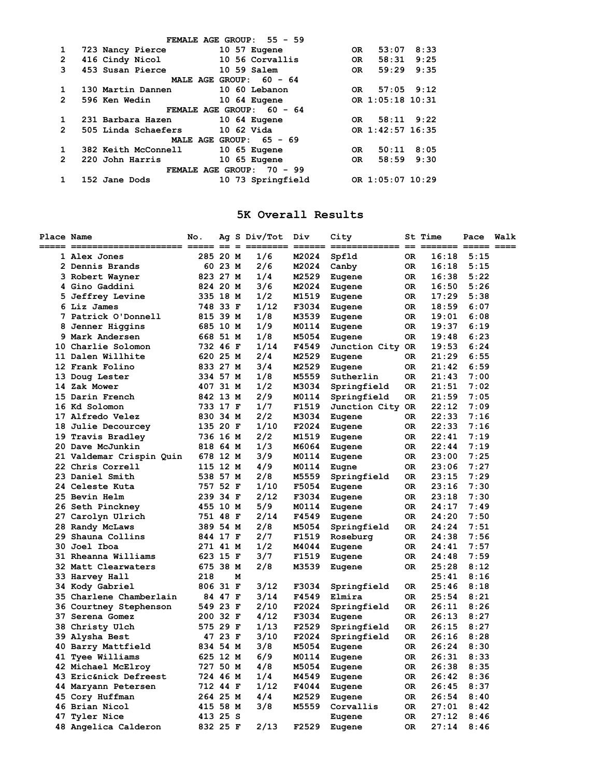|                | FEMALE AGE GROUP: $55 - 59$          |                       |
|----------------|--------------------------------------|-----------------------|
| 1              | 723 Nancy Pierce<br>$10\,57$ Eugene  | 8:33<br>53:07<br>OR.  |
| 2              | 416 Cindy Nicol<br>10 56 Corvallis   | 9:25<br>58:31<br>OR.  |
| 3              | 453 Susan Pierce<br>10 59 Salem      | 9:35<br>59:29<br>OR.  |
|                | MALE AGE GROUP: 60 - 64              |                       |
| 1              | 130 Martin Dannen<br>10 60 Lebanon   | $57:05$ 9:12<br>OR.   |
| 2              | 596 Ken Wedin<br>10 64 Eugene        | OR 1:05:18 10:31      |
|                | FEMALE AGE GROUP: 60 - 64            |                       |
|                | 10 64 Eugene<br>231 Barbara Hazen    | $58:11$ $9:22$<br>OR. |
| $\overline{2}$ | $10\,62$ Vida<br>505 Linda Schaefers | OR 1:42:57 16:35      |
|                | MALE AGE GROUP: 65 - 69              |                       |
|                | 382 Keith McConnell<br>10 65 Eugene  | 8:05<br>50:11<br>OR.  |
| $\overline{2}$ | 10 65 Eugene<br>220 John Harris      | 9:30<br>58:59<br>0R   |
|                | FEMALE AGE GROUP: 70 - 99            |                       |
|                | 10 73 Springfield<br>152 Jane Dods   | OR 1:05:07 10:29      |

# **5K Overall Results**

| <b>Place Name</b> | ===== ====================== ==== | No.      | $=$     | $=$ | Ag S Div/Tot<br>=== | Div<br>$=$ $=$ $=$ $=$ $=$ $=$ | City<br>$\begin{array}{c} \texttt{---} \texttt{---} \texttt{---} \texttt{---} \texttt{---} \end{array}$ |           | <b>St Time</b><br>$==$ $==$ $==$ | Pace | Walk |
|-------------------|-----------------------------------|----------|---------|-----|---------------------|--------------------------------|---------------------------------------------------------------------------------------------------------|-----------|----------------------------------|------|------|
|                   | 1 Alex Jones                      | 285 20 M |         |     | 1/6                 | M2024                          | Spfld                                                                                                   | <b>OR</b> | 16:18                            | 5:15 |      |
|                   | 2 Dennis Brands                   |          | 60 23 M |     | 2/6                 | M2024                          | Canby                                                                                                   | 0R        | 16:18                            | 5:15 |      |
|                   | 3 Robert Wayner                   | 823 27 M |         |     | 1/4                 | M2529                          | Eugene                                                                                                  | 0R        | 16:38                            | 5:22 |      |
|                   | 4 Gino Gaddini                    | 824 20 M |         |     | 3/6                 | M2024                          | Eugene                                                                                                  | OR.       | 16:50                            | 5:26 |      |
|                   | 5 Jeffrey Levine                  | 335 18 M |         |     | 1/2                 | M1519                          | Eugene                                                                                                  | 0R        | 17:29                            | 5:38 |      |
|                   | 6 Liz James                       | 748 33 F |         |     | 1/12                | F3034                          | Eugene                                                                                                  | 0R        | 18:59                            | 6:07 |      |
|                   | 7 Patrick O'Donnell               | 815 39 M |         |     | 1/8                 | M3539                          | Eugene                                                                                                  | 0R        | 19:01                            | 6:08 |      |
|                   | 8 Jenner Higgins                  | 685 10 M |         |     | 1/9                 | M0114                          | Eugene                                                                                                  | 0R        | 19:37                            | 6:19 |      |
|                   | 9 Mark Andersen                   | 668 51 M |         |     | 1/8                 | M5054                          | Eugene                                                                                                  | 0R        | 19:48                            | 6:23 |      |
|                   | 10 Charlie Solomon                | 732 46 F |         |     | 1/14                | F4549                          | Junction City OR                                                                                        |           | 19:53                            | 6:24 |      |
|                   | 11 Dalen Willhite                 | 620 25 M |         |     | 2/4                 | M2529                          | Eugene                                                                                                  | OR.       | 21:29                            | 6:55 |      |
|                   | 12 Frank Folino                   | 833 27 M |         |     | 3/4                 | M2529                          | Eugene                                                                                                  | 0R        | 21:42                            | 6:59 |      |
|                   | 13 Doug Lester                    | 334 57 M |         |     | 1/8                 | M5559                          | Sutherlin                                                                                               | 0R        | 21:43                            | 7:00 |      |
|                   | 14 Zak Mower                      | 407 31 M |         |     | 1/2                 | M3034                          | Springfield                                                                                             | 0R        | 21:51                            | 7:02 |      |
|                   | 15 Darin French                   | 842 13 M |         |     | 2/9                 | M0114                          | Springfield                                                                                             | 0R        | 21:59                            | 7:05 |      |
|                   | 16 Kd Solomon                     | 733 17 F |         |     | 1/7                 | F1519                          | Junction City OR                                                                                        |           | 22:12                            | 7:09 |      |
|                   | 17 Alfredo Velez                  | 830 34 M |         |     | 2/2                 | M3034                          | Eugene                                                                                                  | 0R        | 22:33                            | 7:16 |      |
|                   | 18 Julie Decourcey                | 135 20 F |         |     | 1/10                | F2024                          | Eugene                                                                                                  | OR        | 22:33                            | 7:16 |      |
|                   | 19 Travis Bradley                 | 736 16 M |         |     | 2/2                 | M1519                          | Eugene                                                                                                  | 0R        | 22:41                            | 7:19 |      |
|                   | 20 Dave McJunkin                  | 818 64 M |         |     | 1/3                 | M6064                          | Eugene                                                                                                  | OR.       | 22:44                            | 7:19 |      |
|                   | 21 Valdemar Crispin Quin          | 678 12 M |         |     | 3/9                 | M0114                          | Eugene                                                                                                  | 0R        | 23:00                            | 7:25 |      |
|                   | 22 Chris Correll                  | 115 12 M |         |     | 4/9                 | M0114                          | Eugne                                                                                                   | 0R        | 23:06                            | 7:27 |      |
|                   | 23 Daniel Smith                   | 538 57 M |         |     | 2/8                 | M5559                          | Springfield                                                                                             | 0R        | 23:15                            | 7:29 |      |
|                   | 24 Celeste Kuta                   | 757 52 F |         |     | 1/10                | F5054                          | Eugene                                                                                                  | OR.       | 23:16                            | 7:30 |      |
|                   | <b>25 Bevin Helm</b>              | 239 34 F |         |     | 2/12                | F3034                          | Eugene                                                                                                  | 0R        | 23:18                            | 7:30 |      |
|                   | 26 Seth Pinckney                  | 455 10 M |         |     | 5/9                 | M0114                          | Eugene                                                                                                  | OR.       | 24:17                            | 7:49 |      |
|                   | 27 Carolyn Ulrich                 | 751 48 F |         |     | 2/14                | F4549                          | Eugene                                                                                                  | 0R        | 24:20                            | 7:50 |      |
|                   | 28 Randy McLaws                   | 389 54 M |         |     | 2/8                 | M5054                          | Springfield                                                                                             | 0R        | 24:24                            | 7:51 |      |
|                   | 29 Shauna Collins                 | 844 17 F |         |     | 2/7                 | F1519                          | Roseburg                                                                                                | 0R        | 24:38                            | 7:56 |      |
|                   | 30 Joel Iboa                      | 271 41 M |         |     | 1/2                 | M4044                          | Eugene                                                                                                  | 0R        | 24:41                            | 7:57 |      |
|                   | 31 Rheanna Williams               | 623 15 F |         |     | 3/7                 | F1519                          | Eugene                                                                                                  | OR.       | 24:48                            | 7:59 |      |
|                   | 32 Matt Clearwaters               | 675 38 M |         |     | 2/8                 | M3539                          | Eugene                                                                                                  | 0R        | 25:28                            | 8:12 |      |
|                   | 33 Harvey Hall                    | 218      |         | м   |                     |                                |                                                                                                         |           | 25:41                            | 8:16 |      |
|                   | 34 Kody Gabriel                   | 806 31 F |         |     | 3/12                | F3034                          | Springfield                                                                                             | OR.       | 25:46                            | 8:18 |      |
|                   | 35 Charlene Chamberlain           |          | 84 47 F |     | 3/14                | F4549                          | Elmira                                                                                                  | 0R        | 25:54                            | 8:21 |      |
|                   | 36 Courtney Stephenson            | 549 23 F |         |     | 2/10                | F2024                          | Springfield                                                                                             | 0R        | 26:11                            | 8:26 |      |
| 37                | Serena Gomez                      | 200 32 F |         |     | 4/12                | F3034                          | Eugene                                                                                                  | <b>OR</b> | 26:13                            | 8:27 |      |
|                   | 38 Christy Ulch                   | 575 29 F |         |     | 1/13                | F2529                          | Springfield                                                                                             | <b>OR</b> | 26:15                            | 8:27 |      |
|                   | 39 Alysha Best                    |          | 47 23 F |     | 3/10                | F2024                          | Springfield                                                                                             | <b>OR</b> | 26:16                            | 8:28 |      |
|                   | 40 Barry Mattfield                | 834 54 M |         |     | 3/8                 | M5054                          | Eugene                                                                                                  | 0R        | 26:24                            | 8:30 |      |
|                   | 41 Tyee Williams                  | 625 12 M |         |     | 6/9                 | M0114                          | Eugene                                                                                                  | 0R        | 26:31                            | 8:33 |      |
|                   | 42 Michael McElroy                | 727 50 M |         |     | 4/8                 | M5054                          | Eugene                                                                                                  | 0R        | 26:38                            | 8:35 |      |
|                   | 43 Eric&nick Defreest             | 724 46 M |         |     | 1/4                 | M4549                          | Eugene                                                                                                  | <b>OR</b> | 26:42                            | 8:36 |      |
|                   | 44 Maryann Petersen               | 712 44 F |         |     | 1/12                | F4044                          | Eugene                                                                                                  | OR.       | 26:45                            | 8:37 |      |
|                   | 45 Cory Huffman                   | 264 25 M |         |     | 4/4                 | M2529                          | Eugene                                                                                                  | 0R        | 26:54                            | 8:40 |      |
|                   | 46 Brian Nicol                    | 415 58 M |         |     | 3/8                 | M5559                          | Corvallis                                                                                               | 0R        | 27:01                            | 8:42 |      |
|                   | 47 Tyler Nice                     | 413 25 S |         |     |                     |                                | Eugene                                                                                                  | 0R        | 27:12                            | 8:46 |      |
|                   | 48 Angelica Calderon              | 832 25 F |         |     | 2/13                | F2529                          | Eugene                                                                                                  | <b>OR</b> | 27:14                            | 8:46 |      |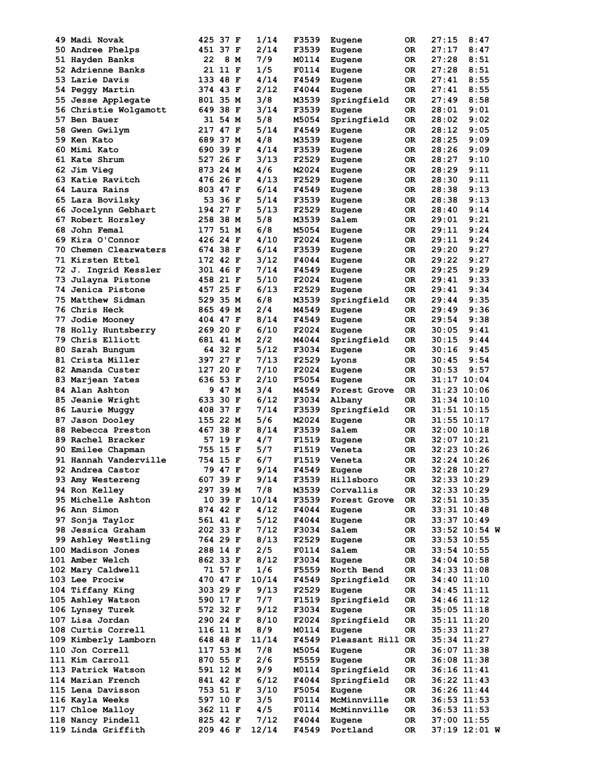|     | 49 Madi Novak           | 425 37 F  | 1/14  | F3539 | Eugene           | 0R  | 27:15<br>8:47   |
|-----|-------------------------|-----------|-------|-------|------------------|-----|-----------------|
|     | <b>50 Andree Phelps</b> | 451 37 F  | 2/14  | F3539 | Eugene           | OR  | 27:17<br>8:47   |
|     | 51 Hayden Banks         | 22<br>8 M | 7/9   | M0114 | Eugene           | OR  | 27:28<br>8:51   |
|     | 52 Adrienne Banks       | 21 11 F   | 1/5   | F0114 | Eugene           | 0R  | 27:28<br>8:51   |
|     | 53 Larie Davis          | 133 48 F  | 4/14  | F4549 | Eugene           | 0R  | 27:41<br>8:55   |
|     |                         |           | 2/12  | F4044 |                  |     | 27:41<br>8:55   |
| 54. | Peggy Martin            | 374 43 F  |       |       | Eugene           | 0R  |                 |
|     | 55 Jesse Applegate      | 801 35 M  | 3/8   | M3539 | Springfield      | 0R  | 8:58<br>27:49   |
|     | 56 Christie Wolgamott   | 649 38 F  | 3/14  | F3539 | Eugene           | 0R  | 28:01<br>9:01   |
|     | 57 Ben Bauer            | 31 54 M   | 5/8   | M5054 | Springfield      | 0R  | 9:02<br>28:02   |
|     | <b>58 Gwen Gwilym</b>   | 217 47 F  | 5/14  | F4549 | Eugene           | OR. | 28:12<br>9:05   |
|     | 59 Ken Kato             | 689 37 M  | 4/8   | M3539 | Eugene           | 0R  | 28:25<br>9:09   |
|     | 60 Mimi Kato            | 690 39 F  | 4/14  | F3539 | Eugene           | 0R  | 28:26<br>9:09   |
|     | 61 Kate Shrum           | 527 26 F  | 3/13  | F2529 | Eugene           | 0R  | 28:27<br>9:10   |
|     | 62 Jim Vieg             | 873 24 M  | 4/6   | M2024 |                  | 0R  | 28:29<br>9:11   |
|     |                         |           |       |       | Eugene           |     |                 |
|     | 63 Katie Ravitch        | 476 26 F  | 4/13  | F2529 | Eugene           | OR. | 28:30<br>9:11   |
|     | 64 Laura Rains          | 803 47 F  | 6/14  | F4549 | Eugene           | 0R  | 28:38<br>9:13   |
|     | 65 Lara Bovilsky        | 53 36 F   | 5/14  | F3539 | Eugene           | OR. | 9:13<br>28:38   |
|     | 66 Jocelynn Gebhart     | 194 27 F  | 5/13  | F2529 | Eugene           | 0R  | 28:40<br>9:14   |
|     | 67 Robert Horsley       | 258 38 M  | 5/8   | M3539 | Salem            | 0R  | 29:01<br>9:21   |
|     | 68 John Femal           | 177 51 M  | 6/8   | M5054 | Eugene           | OR. | 9:24<br>29:11   |
|     | 69 Kira O'Connor        | 426 24 F  | 4/10  | F2024 | Eugene           | 0R  | 9:24<br>29:11   |
|     | 70 Chemen Clearwaters   | 674 38 F  | 6/14  | F3539 | Eugene           | 0R  | 9:27<br>29:20   |
|     | 71 Kirsten Ettel        | 172 42 F  |       | F4044 |                  |     | 9:27            |
|     |                         |           | 3/12  |       | Eugene           | 0R  | 29:22           |
|     | 72 J. Ingrid Kessler    | 301 46 F  | 7/14  | F4549 | Eugene           | 0R  | 29:25<br>9:29   |
|     | 73 Julayna Pistone      | 458 21 F  | 5/10  | F2024 | Eugene           | 0R  | 9:33<br>29:41   |
|     | 74 Jenica Pistone       | 457 25 F  | 6/13  | F2529 | Eugene           | 0R  | 29:41<br>9:34   |
|     | 75 Matthew Sidman       | 529 35 M  | 6/8   | M3539 | Springfield      | 0R  | 9:35<br>29:44   |
|     | <b>76 Chris Heck</b>    | 865 49 M  | 2/4   | M4549 | Eugene           | 0R  | 9:36<br>29:49   |
|     | <b>77 Jodie Mooney</b>  | 404 47 F  | 8/14  | F4549 | Eugene           | 0R  | 29:54<br>9:38   |
|     | 78 Holly Huntsberry     | 269 20 F  | 6/10  | F2024 | Eugene           | OR. | 9:41<br>30:05   |
|     | 79 Chris Elliott        | 681 41 M  | 2/2   | M4044 |                  | 0R  | 9:44            |
|     |                         |           |       |       | Springfield      |     | 30:15           |
| 80. | Sarah Bungum            | 64 32 F   | 5/12  | F3034 | Eugene           | 0R  | 30:16<br>9:45   |
|     | 81 Crista Miller        | 397 27 F  | 7/13  | F2529 | Lyons            | 0R  | 9:54<br>30:45   |
|     | 82 Amanda Custer        | 127 20 F  | 7/10  | F2024 | Eugene           | 0R  | 9:57<br>30:53   |
|     | 83 Marjean Yates        | 636 53 F  | 2/10  | F5054 | Eugene           | 0R  | $31:17$ $10:04$ |
|     | 84 Alan Ashton          | 9 47 M    | 3/4   | M4549 | Forest Grove     | OR  | 31:23 10:06     |
|     | 85 Jeanie Wright        | 633 30 F  | 6/12  | F3034 | Albany           | OR  | 31:34 10:10     |
|     | 86 Laurie Muggy         | 408 37 F  | 7/14  | F3539 | Springfield      | 0R  | 31:51 10:15     |
|     |                         | 155 22 M  | 5/6   | M2024 |                  |     | 31:55 10:17     |
|     | 87 Jason Dooley         |           |       |       | Eugene           | 0R  |                 |
|     | 88 Rebecca Preston      | 467 38 F  | 8/14  | F3539 | Salem            | OR. | $32:00$ $10:18$ |
|     | 89 Rachel Bracker       | 57 19 F   | 4/7   | F1519 | Eugene           | 0R  | 32:07 10:21     |
|     | 90 Emilee Chapman       | 755 15 F  | 5/7   | F1519 | Veneta           | 0R  | 32:23 10:26     |
|     | 91 Hannah Vanderville   | 754 15 F  | 6/7   | F1519 | Veneta           | OR  | 32:24 10:26     |
|     | 92 Andrea Castor        | 79 47 F   | 9/14  | F4549 | Eugene           | OR  | 32:28 10:27     |
|     | 93 Amy Westereng        | 607 39 F  | 9/14  | F3539 | Hillsboro        | 0R  | 32:33 10:29     |
|     | 94 Ron Kelley           | 297 39 M  | 7/8   | M3539 | Corvallis        | OR  | 32:33 10:29     |
|     | 95 Michelle Ashton      | 10 39 F   | 10/14 | F3539 | Forest Grove     | OR  | $32:51$ $10:35$ |
|     |                         |           |       |       |                  |     |                 |
|     | 96 Ann Simon            | 874 42 F  | 4/12  | F4044 | Eugene           | OR  | $33:31$ $10:48$ |
|     | 97 Sonja Taylor         | 561 41 F  | 5/12  | F4044 | Eugene           | OR  | 33:37 10:49     |
|     | 98 Jessica Graham       | 202 33 F  | 7/12  | F3034 | Salem            | OR  | 33:52 10:54 W   |
|     | 99 Ashley Westling      | 764 29 F  | 8/13  | F2529 | Eugene           | OR  | $33:53$ $10:55$ |
|     | 100 Madison Jones       | 288 14 F  | 2/5   | F0114 | Salem            | OR  | $33:54$ 10:55   |
|     | 101 Amber Welch         | 862 33 F  | 8/12  | F3034 | Eugene           | OR  | 34:04 10:58     |
|     | 102 Mary Caldwell       | 71 57 F   | 1/6   | F5559 | North Bend       | OR  | 34:33 11:08     |
|     | 103 Lee Prociw          |           |       |       |                  |     |                 |
|     |                         | 470 47 F  | 10/14 | F4549 | Springfield      | OR  | 34:40 11:10     |
|     | 104 Tiffany King        | 303 29 F  | 9/13  | F2529 | Eugene           | OR  | 34:45 11:11     |
|     | 105 Ashley Watson       | 590 17 F  | 7/7   | F1519 | Springfield      | OR  | 34:46 11:12     |
|     | 106 Lynsey Turek        | 572 32 F  | 9/12  | F3034 | Eugene           | OR  | $35:05$ $11:18$ |
|     | 107 Lisa Jordan         | 290 24 F  | 8/10  | F2024 | Springfield      | OR  | 35:11 11:20     |
|     | 108 Curtis Correll      | 116 11 M  | 8/9   | M0114 | Eugene           | OR  | 35:33 11:27     |
|     | 109 Kimberly Lamborn    | 648 48 F  | 11/14 | F4549 | Pleasant Hill OR |     | 35:34 11:27     |
|     | 110 Jon Correll         | 117 53 M  | 7/8   | M5054 | Eugene           | OR  | 36:07 11:38     |
|     |                         |           | 2/6   |       |                  |     |                 |
|     | 111 Kim Carroll         | 870 55 F  |       | F5559 | Eugene           | OR  | $36:08$ 11:38   |
|     | 113 Patrick Watson      | 591 12 M  | 9/9   | M0114 | Springfield      | OR  | 36:16 11:41     |
|     | 114 Marian French       | 841 42 F  | 6/12  | F4044 | Springfield      | OR  | 36:22 11:43     |
|     | 115 Lena Davisson       | 753 51 F  | 3/10  | F5054 | Eugene           | OR  | 36:26 11:44     |
|     | 116 Kayla Weeks         | 597 10 F  | 3/5   | F0114 | McMinnville      | OR  | $36:53$ 11:53   |
|     | 117 Chloe Malloy        | 362 11 F  | 4/5   | F0114 | McMinnville      | OR  | $36:53$ 11:53   |
|     | 118 Nancy Pindell       | 825 42 F  | 7/12  | F4044 | Eugene           | OR  | 37:00 11:55     |
|     | 119 Linda Griffith      | 209 46 F  | 12/14 | F4549 | Portland         | OR  | 37:19 12:01 W   |
|     |                         |           |       |       |                  |     |                 |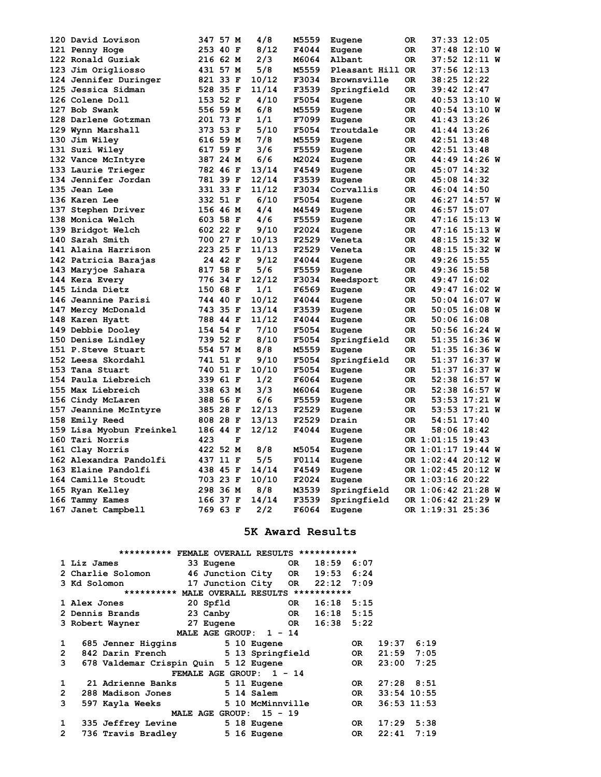| 120 David Lovison        | 347 57 M             | 4/8            | M5559          | Eugene           | 0R         | 37:33 12:05                |
|--------------------------|----------------------|----------------|----------------|------------------|------------|----------------------------|
| 121 Penny Hoge           | 253 40 F             | 8/12           | F4044          | Eugene           | 0R         | 37:48 12:10 W              |
| 122 Ronald Guziak        | 216 62 M             | 2/3            | M6064          | Albant           | 0R         | 37:52 12:11 W              |
| 123 Jim Origliosso       | 431 57 M             | 5/8            | M5559          | Pleasant Hill OR |            | $37:56$ $12:13$            |
| 124 Jennifer Duringer    | 821 33 F             | 10/12          | F3034          | Brownsville      | 0R         | 38:25 12:22                |
| 125 Jessica Sidman       | 528 35 F             | 11/14          | F3539          | Springfield      | OR.        | 39:42 12:47                |
| 126 Colene Doll          | 153 52 F             | 4/10           | F5054          | Eugene           | OR.        | 40:53 13:10 W              |
| 127 Bob Swank            | 556 59 M             | 6/8            | M5559          | Eugene           | 0R         | 40:54 13:10 W              |
| 128 Darlene Gotzman      | 201 73 F             | 1/1            | F7099          | Eugene           | OR         | 41:43 13:26                |
| 129 Wynn Marshall        | 373 53 F             | 5/10           | F5054          | Troutdale        | 0R         | 41:44 13:26                |
| 130 Jim Wiley            | 616 59 M             | 7/8            | M5559          | Eugene           | OR         | 42:51 13:48                |
| 131 Suzi Wiley           | 617 59 F             | 3/6            | F5559          | Eugene           | OR         | 42:51 13:48                |
| 132 Vance McIntyre       | 387 24 M             | 6/6            | M2024          | Eugene           | 0R         | 44:49 14:26 W              |
| 133 Laurie Trieger       | 782 46 F             | 13/14          | F4549          | Eugene           | OR         | 45:07 14:32                |
| 134 Jennifer Jordan      | 781 39 F             | 12/14          | F3539          | Eugene           | OR         | 45:08 14:32                |
| 135 Jean Lee             | 331 33 F             | 11/12          | F3034          | Corvallis        | 0R         | 46:04 14:50                |
| 136 Karen Lee            | 332 51 F             | 6/10           | F5054          | Eugene           | 0R         | 46:27 14:57 W              |
| 137 Stephen Driver       | 156 46 M             | 4/4            | M4549          | Eugene           | OR.        | $46:57$ 15:07              |
| 138 Monica Welch         | 603 58 F             | 4/6            | F5559          | Eugene           | OR.        | 47:16 15:13 W              |
| 139 Bridgot Welch        | 602 22 F             | 9/10           | F2024          | Eugene           | OR         | 47:16 15:13 W              |
| 140 Sarah Smith          | 700 27 F             | 10/13          | F2529          | Veneta           | 0R         | 48:15 15:32 W              |
| 141 Alaina Harrison      | 223 25 F             | 11/13          | F2529          | Veneta           | OR.        | 48:15 15:32 W              |
| 142 Patricia Barajas     | 24 42 F              | 9/12           | F4044          | Eugene           | OR         | 49:26 15:55                |
| 143 Maryjoe Sahara       | 817 58 F             | 5/6            | F5559          | Eugene           | OR         | 49:36 15:58                |
| 144 Kera Every           | 776 34 F             | 12/12          | F3034          | Reedsport        | OR         | 49:47 16:02                |
| 145 Linda Dietz          | 150 68 F             | 1/1            | F6569          | Eugene           | 0R         | 49:47 16:02 W              |
| 146 Jeannine Parisi      | 744 40 F             | 10/12          | F4044          | Eugene           | 0R         | 50:04 16:07 W              |
| 147 Mercy McDonald       | 743 35 F             | 13/14          | F3539          | Eugene           | OR         | 50:05 16:08 W              |
| 148 Karen Hyatt          | 788 44 F             | 11/12          | F4044          | Eugene           | 0R         | 50:06 16:08                |
| 149 Debbie Dooley        | 154 54 F             | 7/10           | F5054          | Eugene           | OR         | 50:56 16:24 W              |
| 150 Denise Lindley       | 739 52 F             | 8/10           | F5054          | Springfield      | OR         | 51:35 16:36 W              |
| 151 P. Steve Stuart      | 554 57 M             | 8/8            | M5559          | Eugene           | OR         | 51:35 16:36 W              |
| 152 Leesa Skordahl       | 741 51 F             | 9/10           | F5054          | Springfield      | 0R         | 51:37 16:37 W              |
| 153 Tana Stuart          | 740 51 F             | 10/10          | F5054          | Eugene           | 0R         | 51:37 16:37 W              |
| 154 Paula Liebreich      | 339 61 F             | 1/2            | F6064          |                  | 0R         | 52:38 16:57 W              |
| 155 Max Liebreich        | 338 63 M             | 3/3            | M6064          | Eugene           | OR         | 52:38 16:57 W              |
|                          |                      | 6/6            | F5559          | Eugene           |            |                            |
| 156 Cindy McLaren        | 388 56 F             |                |                | Eugene           | OR.        | 53:53 17:21 W              |
| 157 Jeannine McIntyre    | 385 28 F             | 12/13          | F2529<br>F2529 | Eugene           | OR.<br>OR. | 53:53 17:21 W              |
| 158 Emily Reed           | 808 28 F<br>186 44 F | 13/13<br>12/12 | F4044          | Drain            | 0R         | 54:51 17:40<br>58:06 18:42 |
| 159 Lisa Myobun Freinkel |                      | F              |                | Eugene           |            |                            |
| 160 Tari Norris          | 423                  |                |                | Eugene           |            | OR 1:01:15 19:43           |
| 161 Clay Norris          | 422 52 M             | 8/8            | M5054          | Eugene           |            | OR 1:01:17 19:44 W         |
| 162 Alexandra Pandolfi   | 437 11 F             | 5/5            | F0114          | Eugene           |            | OR 1:02:44 20:12 W         |
| 163 Elaine Pandolfi      | 438 45 F             | 14/14          | F4549          | Eugene           |            | OR 1:02:45 20:12 W         |
| 164 Camille Stoudt       | 703 23 F             | 10/10          | F2024          | Eugene           |            | OR 1:03:16 20:22           |
| 165 Ryan Kelley          | 298 36 M             | 8/8            | M3539          | Springfield      |            | OR 1:06:42 21:28 W         |
| 166 Tammy Eames          | 166 37 F             | 14/14          | F3539          | Springfield      |            | OR 1:06:42 21:29 W         |
| 167 Janet Campbell       | 769 63 F             | 2/2            | F6064          | Eugene           |            | OR 1:19:31 25:36           |

### **5K Award Results**

|                | ********** FEMALE OVERALL RESULTS ***********       |                                |                  |       |               |           |       |                |
|----------------|-----------------------------------------------------|--------------------------------|------------------|-------|---------------|-----------|-------|----------------|
|                | 1 Liz James                                         | 33 Eugene                      |                  |       | OR 18:59 6:07 |           |       |                |
|                | 2 Charlie Solomon                                   | 46 Junction City OR 19:53 6:24 |                  |       |               |           |       |                |
|                | 3 Kd Solomon                       17 Junction City |                                |                  |       | OR 22:12 7:09 |           |       |                |
|                | ********** MALE OVERALL RESULTS ***********         |                                |                  |       |               |           |       |                |
|                | 1 Alex Jones                                        | 20 Spfld                       |                  | OR DR | $16:18$ 5:15  |           |       |                |
|                | 2 Dennis Brands                                     | 23 Canby                       |                  |       | OR 16:18 5:15 |           |       |                |
|                | 3 Robert Wayner                                     | 27 Eugene                      |                  |       | OR 16:38 5:22 |           |       |                |
|                |                                                     | MALE AGE GROUP: 1 - 14         |                  |       |               |           |       |                |
| 1              | 685 Jenner Higgins 5 10 Eugene                      |                                |                  |       |               | OR.       | 19:37 | 6:19           |
| $\overline{2}$ | 842 Darin French                                    | 5 13 Springfield               |                  |       |               | OR D      | 21:59 | 7:05           |
| 3              | 678 Valdemar Crispin Quin 5 12 Eugene               |                                |                  |       |               | OR DR     | 23:00 | 7:25           |
|                |                                                     | FEMALE AGE GROUP: 1 - 14       |                  |       |               |           |       |                |
| 1              | 21 Adrienne Banks                                   |                                | 5 11 Eugene      |       |               | OR.       |       | $27:28$ $8:51$ |
| $\mathbf{2}$   | 288 Madison Jones                                   |                                | 5 14 Salem       |       |               | OR DR     |       | $33:54$ 10:55  |
| 3              | 597 Kayla Weeks                                     |                                | 5 10 McMinnville |       |               | <b>OR</b> |       | $36:53$ 11:53  |
|                |                                                     | MALE AGE GROUP: 15 - 19        |                  |       |               |           |       |                |
| 1              | 335 Jeffrey Levine                                  |                                | 5 18 Eugene      |       |               | OR        | 17:29 | 5:38           |
| $\mathbf{2}$   | 736 Travis Bradley                                  |                                | 5 16 Eugene      |       |               | OR.       | 22:41 | 7:19           |
|                |                                                     |                                |                  |       |               |           |       |                |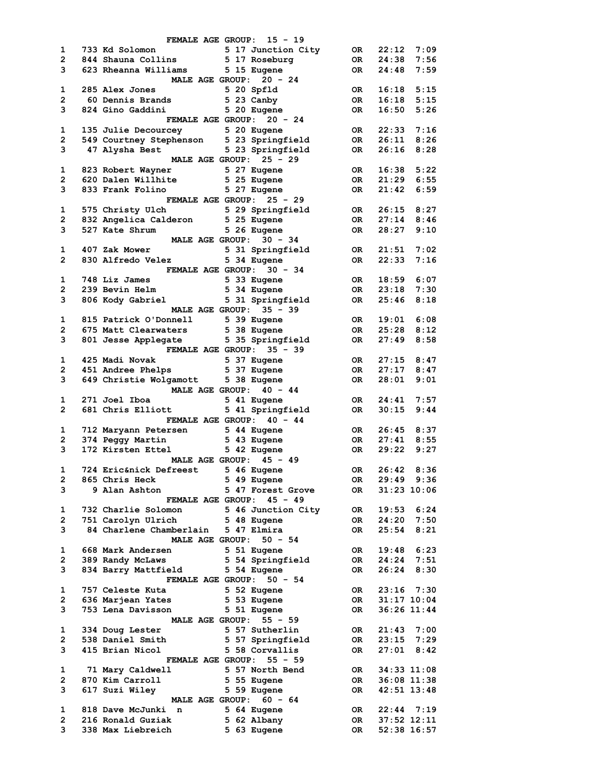|                | FEMALE AGE GROUP: 15 - 19                                                                         |                 |                                |      |
|----------------|---------------------------------------------------------------------------------------------------|-----------------|--------------------------------|------|
| 1              |                                                                                                   | OR <sub>.</sub> | 22:12                          | 7:09 |
| $\mathbf{2}$   | 733 Kd Solomon                   5 17 Junction City<br>844 Shauna Collins           5 17 Roseburg | OR DR           | 24:38 7:56                     |      |
| 3              | 623 Rheanna Williams 5 15 Eugene                                                                  |                 | OR 24:48                       | 7:59 |
|                | MALE AGE GROUP: 20 - 24                                                                           |                 |                                |      |
| $\mathbf{1}$   |                                                                                                   |                 | OR 16:18 5:15<br>OR 16:18 5:15 |      |
| $\overline{2}$ |                                                                                                   |                 |                                |      |
| 3              | 824 Gino Gaddini 5 20 Eugene                                                                      | OR DR           | 16:50                          | 5:26 |
|                | <b>FEMALE AGE GROUP: 20 - 24</b>                                                                  |                 |                                |      |
| $\mathbf{1}$   | 135 Julie Decourcey 5 20 Eugene                                                                   | <b>OR</b>       | $22:33$ 7:16                   |      |
| $\mathbf{2}$   | 549 Courtney Stephenson 5 23 Springfield                                                          | OR              | 26:11                          | 8:26 |
|                | 5 23 Springfield<br>3 47 Alysha Best                                                              | OR DO           | 26:16                          | 8:28 |
|                | MALE AGE GROUP: 25 - 29                                                                           |                 |                                |      |
| 1              | 823 Robert Wayner 5 27 Eugene                                                                     | OR DR           | $16:38$ $5:22$                 |      |
| $\mathbf{2}$   | 620 Dalen Willhite 5 25 Eugene                                                                    | OR              | $21:29$ 6:55                   |      |
| 3              |                                                                                                   | OR              | 21:42                          | 6:59 |
|                | 833 Frank Folino 5 27 Eugene<br>FEMALE AGE GROUP: 25 - 29                                         |                 |                                |      |
|                | 5 29 Springfield OR                                                                               |                 |                                |      |
| 1              | 575 Christy Ulch                                                                                  |                 | 26:15                          | 8:27 |
|                | 2 832 Angelica Calderon 5 25 Eugene                                                               | OR              | 27:14                          | 8:46 |
| 3              | 527 Kate Shrum<br>5 26 Eugene                                                                     | OR              | 28:27                          | 9:10 |
|                | MALE AGE GROUP: 30 - 34                                                                           |                 |                                |      |
| 1              |                                                                                                   |                 |                                |      |
| $\overline{2}$ |                                                                                                   |                 |                                |      |
|                | <b>FEMALE AGE GROUP: 30 - 34</b>                                                                  |                 |                                |      |
| 1              | 748 Liz James 5 33 Eugene<br>239 Bevin Helm 5 34 Eugene<br>806 Kody Gabriel 5 31 Springfield      | OR              | 18:59                          | 6:07 |
| $\mathbf{2}$   |                                                                                                   | OR DR           | $23:18$ 7:30                   |      |
| 3              |                                                                                                   | OR              | 25:46                          | 8:18 |
|                | MALE AGE GROUP: 35 - 39                                                                           |                 |                                |      |
| $\mathbf{1}$   | 815 Patrick O'Donnell 5 39 Eugene                                                                 |                 | OR 19:01 6:08                  |      |
| $\overline{2}$ |                                                                                                   |                 | OR 25:28 8:12                  |      |
| 3              | 675 Matt Clearwaters 5 38 Eugene 100 OR<br>801 Jesse Applegate 5 35 Springfield 100 OR            |                 | 27:49                          | 8:58 |
|                | <b>FEMALE AGE GROUP: 35 - 39</b>                                                                  |                 |                                |      |
| 1              |                                                                                                   |                 | OR 27:15 8:47                  |      |
| $\mathbf{2}$   |                                                                                                   | OR              | 27:17                          | 8:47 |
| 3              | 649 Christie Wolgamott 5 38 Eugene                                                                | OR              | 28:01                          | 9:01 |
|                | MALE AGE GROUP: 40 - 44                                                                           |                 |                                |      |
| $\mathbf{1}$   | 271 Joel Iboa<br>5 41 Eugene                                                                      | OR              | 24:41                          | 7:57 |
| $\mathbf{2}$   | 5 41 Springfield OR<br>681 Chris Elliott                                                          |                 | 30:15                          | 9:44 |
|                |                                                                                                   |                 |                                |      |
|                | FEMALE AGE GROUP: 40 - 44                                                                         | <b>OR</b>       | $26:45$ 8:37                   |      |
| $\mathbf{1}$   |                                                                                                   |                 |                                |      |
| $\mathbf{2}$   |                                                                                                   | <b>OR</b>       | $27:41$ 8:55                   |      |
| 3              | 172 Kirsten Ettel 5 42 Eugene                                                                     | OR              | $29:22$ $9:27$                 |      |
|                | MALE AGE GROUP: 45 - 49                                                                           |                 |                                |      |
| $\mathbf{1}$   | 724 Eric&nick Defreest 5 46 Eugene                                                                | <b>OR</b>       | 26:42 8:36                     |      |
| 2              | 865 Chris Heck<br>5 49 Eugene                                                                     | OR              | 29:49                          | 9:36 |
| 3              | 9 Alan Ashton<br>5 47 Forest Grove                                                                | OR              | $31:23$ $10:06$                |      |
|                | FEMALE AGE GROUP: 45 - 49                                                                         |                 |                                |      |
| 1              | 5 46 Junction City<br>732 Charlie Solomon                                                         | OR.             | 19:53                          | 6:24 |
| $\mathbf{2}$   | 5 48 Eugene<br>751 Carolyn Ulrich                                                                 | OR.             | 24:20                          | 7:50 |
| 3              | 84 Charlene Chamberlain<br>5 47 Elmira                                                            | OR              | 25:54                          | 8:21 |
|                | <b>MALE AGE GROUP:</b><br>$50 - 54$                                                               |                 |                                |      |
| 1              | 668 Mark Andersen<br>5 51 Eugene                                                                  | 0R.             | 19:48                          | 6:23 |
| $\mathbf{2}$   | 389 Randy McLaws<br>5 54 Springfield                                                              | OR              | 24:24                          | 7:51 |
| 3              | 834 Barry Mattfield<br>5 54 Eugene                                                                | OR              | 26:24                          | 8:30 |
|                | $50 - 54$<br><b>FEMALE AGE GROUP:</b>                                                             |                 |                                |      |
| 1              | 757 Celeste Kuta<br>5 52 Eugene                                                                   | OR .            | $23:16$ 7:30                   |      |
| 2              | 636 Marjean Yates<br>5 53 Eugene                                                                  | OR              | $31:17$ $10:04$                |      |
| 3              | 753 Lena Davisson<br>5 51 Eugene                                                                  | OR              | 36:26 11:44                    |      |
|                | MALE AGE GROUP: 55 - 59                                                                           |                 |                                |      |
|                | 5 57 Sutherlin                                                                                    |                 |                                | 7:00 |
| 1              | 334 Doug Lester                                                                                   | 0R.             | 21:43                          |      |
| 2              | 5 57 Springfield<br>538 Daniel Smith                                                              | OR DO           | 23:15                          | 7:29 |
| 3              | 5 58 Corvallis<br>415 Brian Nicol                                                                 | OR              | 27:01                          | 8:42 |
|                | FEMALE AGE GROUP: 55 - 59                                                                         |                 |                                |      |
| 1              | 71 Mary Caldwell<br>5 57 North Bend                                                               | OR              | 34:33 11:08                    |      |
| $\mathbf{2}$   | 870 Kim Carroll<br>5 55 Eugene                                                                    | OR              | $36:08$ 11:38                  |      |
| з              | 617 Suzi Wiley<br>5 59 Eugene                                                                     | OR              | $42:51$ $13:48$                |      |
|                | MALE AGE GROUP: 60 - 64                                                                           |                 |                                |      |
| 1              | 5 64 Eugene<br>818 Dave McJunki n                                                                 | OR              | $22:44$ 7:19                   |      |
| $\mathbf{2}$   | 216 Ronald Guziak<br>5 62 Albany                                                                  | OR.             | $37:52$ $12:11$                |      |
| 3              | 5 63 Eugene<br>338 Max Liebreich                                                                  | 0R              | 52:38 16:57                    |      |